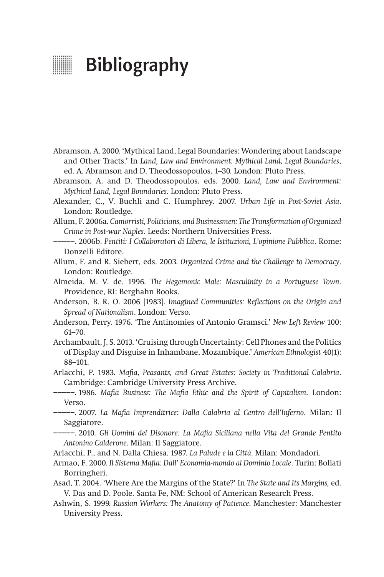## **Bibliography**

- Abramson, A. 2000. 'Mythical Land, Legal Boundaries: Wondering about Landscape and Other Tracts.' In *Land, Law and Environment: Mythical Land, Legal Boundaries*, ed. A. Abramson and D. Theodossopoulos, 1–30. London: Pluto Press.
- Abramson, A. and D. Theodossopoulos, eds. 2000. *Land, Law and Environment: Mythical Land, Legal Boundaries*. London: Pluto Press.
- Alexander, C., V. Buchli and C. Humphrey. 2007. *Urban Life in Post-Soviet Asia*. London: Routledge.
- Allum, F. 2006a. *Camorristi, Politicians, and Businessmen: The Transformation of Organized Crime in Post-war Naples*. Leeds: Northern Universities Press.
- −−−−−. 2006b. *Pentiti: I Collaboratori di Libera, le Istituzioni, L'opinione Pubblica*. Rome: Donzelli Editore.
- Allum, F. and R. Siebert, eds. 2003. *Organized Crime and the Challenge to Democracy*. London: Routledge.
- Almeida, M. V. de. 1996. *The Hegemonic Male: Masculinity in a Portuguese Town*. Providence, RI: Berghahn Books.
- Anderson, B. R. O. 2006 [1983]. *Imagined Communities: Reflections on the Origin and Spread of Nationalism*. London: Verso.
- Anderson, Perry. 1976. 'The Antinomies of Antonio Gramsci.' *New Left Review* 100: 61–70.
- Archambault, J. S. 2013. 'Cruising through Uncertainty: Cell Phones and the Politics of Display and Disguise in Inhambane, Mozambique.' *American Ethnologist* 40(1): 88–101.
- Arlacchi, P. 1983. *Mafia, Peasants, and Great Estates: Society in Traditional Calabria*. Cambridge: Cambridge University Press Archive.
- −−−−−. 1986. *Mafia Business: The Mafia Ethic and the Spirit of Capitalism*. London: Verso.
- −−−−−. 2007. *La Mafia Imprenditrice*: *Dalla Calabria al Centro dell'Inferno*. Milan: Il Saggiatore.
- −−−−−. 2010. *Gli Uomini del Disonore: La Mafia Siciliana nella Vita del Grande Pentito Antonino Calderone*. Milan: Il Saggiatore.
- Arlacchi, P., and N. Dalla Chiesa. 1987. *La Palude e la Città.* Milan: Mondadori.
- Armao, F. 2000. *Il Sistema Mafia: Dall' Economia-mondo al Dominio Locale*. Turin: Bollati Borringheri.
- Asad, T. 2004. 'Where Are the Margins of the State?' In *The State and Its Margins,* ed. V. Das and D. Poole. Santa Fe, NM: School of American Research Press.
- Ashwin, S. 1999. *Russian Workers: The Anatomy of Patience*. Manchester: Manchester University Press.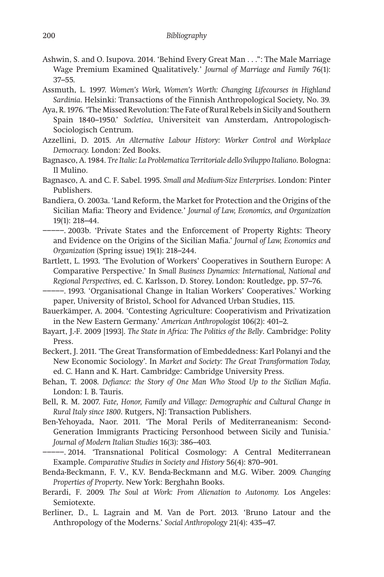- Ashwin, S. and O. Isupova. 2014. 'Behind Every Great Man . . .": The Male Marriage Wage Premium Examined Qualitatively*.*' *Journal of Marriage and Family* 76(1): 37–55.
- Assmuth, L. 1997. *Women's Work, Women's Worth: Changing Lifecourses in Highland Sardinia*. Helsinki: Transactions of the Finnish Anthropological Society, No. 39.
- Aya, R. 1976. 'The Missed Revolution: The Fate of Rural Rebels in Sicily and Southern Spain 1840–1950.' *Socletiea*, Universiteit van Amsterdam, Antropologisch-Sociologisch Centrum.
- Azzellini, D. 2015. *An Alternative Labour History: Worker Control and Workplace Democracy.* London: Zed Books.
- Bagnasco, A. 1984. *Tre Italie: La Problematica Territoriale dello Sviluppo Italiano*. Bologna: Il Mulino.
- Bagnasco, A. and C. F. Sabel. 1995. *Small and Medium-Size Enterprises*. London: Pinter Publishers.
- Bandiera, O. 2003a. 'Land Reform, the Market for Protection and the Origins of the Sicilian Mafia: Theory and Evidence*.*' *Journal of Law, Economics, and Organization* 19(1): 218–44.
- −−−−−. 2003b. 'Private States and the Enforcement of Property Rights: Theory and Evidence on the Origins of the Sicilian Mafia.' *Journal of Law, Economics and Organization* (Spring issue) 19(1): 218–244.
- Bartlett, L. 1993. 'The Evolution of Workers' Cooperatives in Southern Europe: A Comparative Perspective.' In *Small Business Dynamics: International, National and Regional Perspectives,* ed. C. Karlsson, D. Storey. London: Routledge, pp. 57–76.
- −−−−−. 1993. 'Organisational Change in Italian Workers' Cooperatives.' Working paper, University of Bristol, School for Advanced Urban Studies, 115.
- Bauerkämper, A. 2004. 'Contesting Agriculture: Cooperativism and Privatization in the New Eastern Germany.' *American Anthropologist* 106(2): 401–2.
- Bayart, J.-F. 2009 [1993]. *The State in Africa: The Politics of the Belly*. Cambridge: Polity Press.
- Beckert, J. 2011. 'The Great Transformation of Embeddedness: Karl Polanyi and the New Economic Sociology'. In *Market and Society: The Great Transformation Today,*  ed. C. Hann and K. Hart. Cambridge: Cambridge University Press.
- Behan, T. 2008. *Defiance: the Story of One Man Who Stood Up to the Sicilian Mafia*. London: I. B. Tauris.
- Bell, R. M. 2007. *Fate, Honor, Family and Village: Demographic and Cultural Change in Rural Italy since 1800*. Rutgers, NJ: Transaction Publishers.
- Ben-Yehoyada, Naor. 2011. 'The Moral Perils of Mediterraneanism: Second-Generation Immigrants Practicing Personhood between Sicily and Tunisia.' *Journal of Modern Italian Studies* 16(3): 386–403.
- −−−−−. 2014. 'Transnational Political Cosmology: A Central Mediterranean Example. *Comparative Studies in Society and History* 56(4): 870–901.
- Benda-Beckmann, F. V., K.V. Benda-Beckmann and M.G. Wiber. 2009. *Changing Properties of Property*. New York: Berghahn Books.
- Berardi, F. 2009. *The Soul at Work: From Alienation to Autonomy.* Los Angeles: Semiotexte.
- Berliner, D., L. Lagrain and M. Van de Port. 2013. 'Bruno Latour and the Anthropology of the Moderns.' *Social Anthropology* 21(4): 435–47.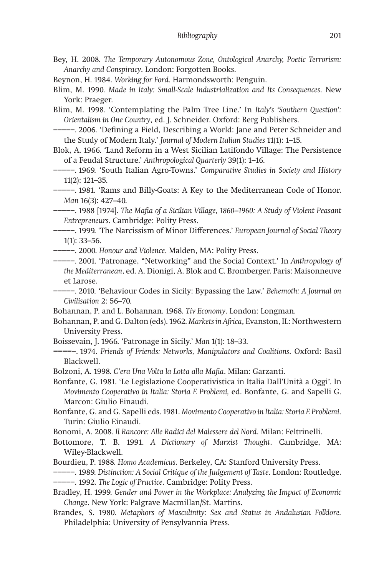- Bey, H. 2008. *The Temporary Autonomous Zone, Ontological Anarchy, Poetic Terrorism: Anarchy and Conspiracy*. London: Forgotten Books.
- Beynon, H. 1984. *Working for Ford*. Harmondsworth: Penguin.

Blim, M. 1990. *Made in Italy: Small-Scale Industrialization and Its Consequences*. New York: Praeger.

Blim, M. 1998. 'Contemplating the Palm Tree Line.' In *Italy's 'Southern Question': Orientalism in One Country*, ed. J. Schneider. Oxford: Berg Publishers.

−−−−−. 2006. 'Defining a Field, Describing a World: Jane and Peter Schneider and the Study of Modern Italy.' *Journal of Modern Italian Studies* 11(1): 1–15.

Blok, A. 1966. 'Land Reform in a West Sicilian Latifondo Village: The Persistence of a Feudal Structure.' *Anthropological Quarterly* 39(1): 1–16.

−−−−−. 1969. 'South Italian Agro-Towns.' *Comparative Studies in Society and History*  11(2): 121–35.

−−−−−. 1981. 'Rams and Billy-Goats: A Key to the Mediterranean Code of Honor. *Man* 16(3): 427–40.

−−−−−. 1988 [1974]. *The Mafia of a Sicilian Village, 1860–1960: A Study of Violent Peasant Entrepreneurs*. Cambridge: Polity Press.

−−−−−. 1999. 'The Narcissism of Minor Differences.' *European Journal of Social Theory* 1(1): 33–56.

−−−−−. 2000. *Honour and Violence*. Malden, MA: Polity Press.

−−−−−. 2001. 'Patronage, "Networking" and the Social Context.' In *Anthropology of the Mediterranean*, ed. A. Dionigi, A. Blok and C. Bromberger. Paris: Maisonneuve et Larose.

−−−−−. 2010. 'Behaviour Codes in Sicily: Bypassing the Law.' *Behemoth: A Journal on Civilisation* 2: 56–70.

Bohannan, P. and L. Bohannan. 1968. *Tiv Economy*. London: Longman.

Bohannan, P. and G. Dalton (eds). 1962. *Markets in Africa*, Evanston, IL: Northwestern University Press.

Boissevain, J. 1966. 'Patronage in Sicily.' *Man* 1(1): 18–33.

**−−−−**−. 1974. *Friends of Friends: Networks, Manipulators and Coalitions*. Oxford: Basil Blackwell.

Bolzoni, A. 1998. *C'era Una Volta la Lotta alla Mafia*. Milan: Garzanti.

Bonfante, G. 1981. 'Le Legislazione Cooperativistica in Italia Dall'Unità a Oggi'. In *Movimento Cooperativo in Italia: Storia E Problemi,* ed. Bonfante, G. and Sapelli G. Marcon: Giulio Einaudi.

Bonfante, G. and G. Sapelli eds. 1981. *Movimento Cooperativo in Italia: Storia E Problemi*. Turin: Giulio Einaudi.

Bonomi, A. 2008. *Il Rancore: Alle Radici del Malessere del Nord*. Milan: Feltrinelli.

Bottomore, T. B. 1991. *A Dictionary of Marxist Thought*. Cambridge, MA: Wiley-Blackwell.

Bourdieu, P. 1988. *Homo Academicus*. Berkeley, CA: Stanford University Press.

−−−−−. 1989. *Distinction: A Social Critique of the Judgement of Taste*. London: Routledge. −−−−−. 1992. *The Logic of Practice*. Cambridge: Polity Press.

Bradley, H. 1999. *Gender and Power in the Workplace: Analyzing the Impact of Economic Change*. New York: Palgrave Macmillan/St. Martins.

Brandes, S. 1980. *Metaphors of Masculinity: Sex and Status in Andalusian Folklore.*  Philadelphia: University of Pensylvannia Press.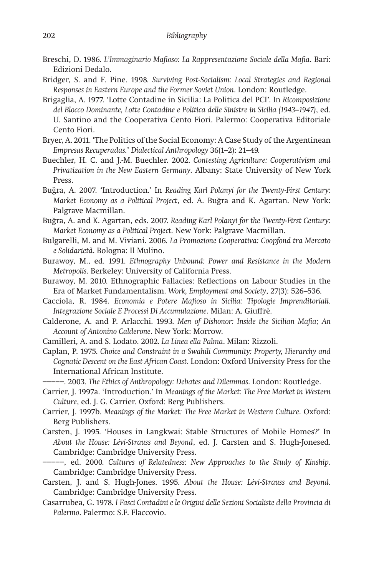- Breschi, D. 1986. *L'Immaginario Mafioso: La Rappresentazione Sociale della Mafia*. Bari: Edizioni Dedalo.
- Bridger, S. and F. Pine. 1998. *Surviving Post-Socialism: Local Strategies and Regional Responses in Eastern Europe and the Former Soviet Union*. London: Routledge.
- Brigaglia, A. 1977. 'Lotte Contadine in Sicilia: La Politica del PCI'. In *Ricomposizione del Blocco Dominante, Lotte Contadine e Politica delle Sinistre in Sicilia (1943–1947)*, ed. U. Santino and the Cooperativa Cento Fiori. Palermo: Cooperativa Editoriale Cento Fiori.
- Bryer, A. 2011. 'The Politics of the Social Economy: A Case Study of the Argentinean *Empresas Recuperadas.*' *Dialectical Anthropology* 36(1–2): 21–49.
- Buechler, H. C. and J.-M. Buechler. 2002. *Contesting Agriculture: Cooperativism and Privatization in the New Eastern Germany*. Albany: State University of New York Press.
- Buğra, A. 2007. 'Introduction.' In *Reading Karl Polanyi for the Twenty-First Century: Market Economy as a Political Project*, ed. A. Buğra and K. Agartan. New York: Palgrave Macmillan.
- Buğra, A. and K. Agartan, eds. 2007. *Reading Karl Polanyi for the Twenty-First Century: Market Economy as a Political Project*. New York: Palgrave Macmillan.
- Bulgarelli, M. and M. Viviani. 2006. *La Promozione Cooperativa: Coopfond tra Mercato e Solidarietà*. Bologna: Il Mulino.
- Burawoy, M., ed. 1991. *Ethnography Unbound: Power and Resistance in the Modern Metropolis*. Berkeley: University of California Press.
- Burawoy, M. 2010. Ethnographic Fallacies: Reflections on Labour Studies in the Era of Market Fundamentalism. *Work, Employment and Society*, 27(3): 526–536.
- Cacciola, R. 1984. *Economia e Potere Mafioso in Sicilia: Tipologie Imprenditoriali. Integrazione Sociale E Processi Di Accumulazione*. Milan: A. Giuffrè.
- Calderone, A. and P. Arlacchi. 1993. *Men of Dishonor: Inside the Sicilian Mafia; An Account of Antonino Calderone*. New York: Morrow.
- Camilleri, A. and S. Lodato. 2002. *La Linea ella Palma*. Milan: Rizzoli.
- Caplan, P. 1975. *Choice and Constraint in a Swahili Community: Property, Hierarchy and Cognatic Descent on the East African Coast*. London: Oxford University Press for the International African Institute.
- −−−−−. 2003. *The Ethics of Anthropology: Debates and Dilemmas*. London: Routledge.
- Carrier, J. 1997a. 'Introduction.' In *Meanings of the Market: The Free Market in Western Culture*, ed. J. G. Carrier. Oxford: Berg Publishers.
- Carrier, J. 1997b. *Meanings of the Market: The Free Market in Western Culture*. Oxford: Berg Publishers.
- Carsten, J. 1995. 'Houses in Langkwai: Stable Structures of Mobile Homes?' In *About the House: Lévi-Strauss and Beyond*, ed. J. Carsten and S. Hugh-Jonesed. Cambridge: Cambridge University Press.
- −−−−−, ed. 2000. *Cultures of Relatedness: New Approaches to the Study of Kinship*. Cambridge: Cambridge University Press.
- Carsten, J. and S. Hugh-Jones. 1995. *About the House: Lévi-Strauss and Beyond.*  Cambridge: Cambridge University Press.
- Casarrubea, G. 1978. *I Fasci Contadini e le Origini delle Sezioni Socialiste della Provincia di Palermo*. Palermo: S.F. Flaccovio.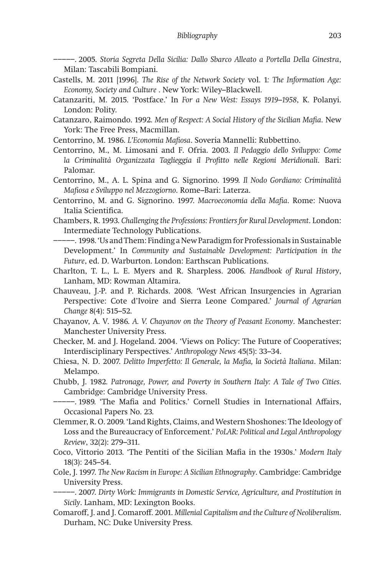−−−−−. 2005. *Storia Segreta Della Sicilia: Dallo Sbarco Alleato a Portella Della Ginestra*, Milan: Tascabili Bompiani.

- Castells, M. 2011 [1996]. *The Rise of the Network Society* vol. 1*: The Information Age: Economy, Society and Culture* . New York: Wiley–Blackwell.
- Catanzariti, M. 2015. 'Postface.' In *For a New West: Essays 1919–1958*, K. Polanyi. London: Polity.
- Catanzaro, Raimondo. 1992. *Men of Respect: A Social History of the Sicilian Mafia*. New York: The Free Press, Macmillan.
- Centorrino, M. 1986. *L'Economia Mafiosa*. Soveria Mannelli: Rubbettino.
- Centorrino, M., M. Limosani and F. Ofria. 2003. *Il Pedaggio dello Sviluppo: Come la Criminalità Organizzata Taglieggia il Profitto nelle Regioni Meridionali*. Bari: Palomar.
- Centorrino, M., A. L. Spina and G. Signorino. 1999. *Il Nodo Gordiano: Criminalità Mafiosa e Sviluppo nel Mezzogiorno*. Rome–Bari: Laterza.
- Centorrino, M. and G. Signorino. 1997. *Macroeconomia della Mafia*. Rome: Nuova Italia Scientifica.
- Chambers, R. 1993. *Challenging the Professions: Frontiers for Rural Development*. London: Intermediate Technology Publications.
- −−−−−. 1998. 'Us and Them: Finding a New Paradigm for Professionals in Sustainable Development.' In *Community and Sustainable Development: Participation in the Future*, ed. D. Warburton. London: Earthscan Publications.
- Charlton, T. L., L. E. Myers and R. Sharpless. 2006. *Handbook of Rural History*, Lanham, MD: Rowman Altamira.
- Chauveau, J.-P. and P. Richards. 2008. 'West African Insurgencies in Agrarian Perspective: Cote d'Ivoire and Sierra Leone Compared.' *Journal of Agrarian Change* 8(4): 515–52.
- Chayanov, A. V. 1986. *A. V. Chayanov on the Theory of Peasant Economy*. Manchester: Manchester University Press.
- Checker, M. and J. Hogeland. 2004. 'Views on Policy: The Future of Cooperatives; Interdisciplinary Perspectives.' *Anthropology News* 45(5): 33–34.
- Chiesa, N. D. 2007. *Delitto Imperfetto: Il Generale, la Mafia, la Società Italiana*. Milan: Melampo.
- Chubb, J. 1982. *Patronage, Power, and Poverty in Southern Italy: A Tale of Two Cities*. Cambridge: Cambridge University Press.
- −−−−−. 1989. 'The Mafia and Politics.' Cornell Studies in International Affairs, Occasional Papers No. 23.
- Clemmer, R. O. 2009. 'Land Rights, Claims, and Western Shoshones: The Ideology of Loss and the Bureaucracy of Enforcement.' *PoLAR: Political and Legal Anthropology Review*, 32(2): 279–311.
- Coco, Vittorio 2013. 'The Pentiti of the Sicilian Mafia in the 1930s.' *Modern Italy* 18(3): 245–54.
- Cole, J. 1997. *The New Racism in Europe: A Sicilian Ethnography*. Cambridge: Cambridge University Press.
	- −−−−−. 2007. *Dirty Work: Immigrants in Domestic Service, Agriculture, and Prostitution in Sicily*. Lanham, MD: Lexington Books.
- Comaroff, J. and J. Comaroff. 2001. *Millenial Capitalism and the Culture of Neoliberalism*. Durham, NC: Duke University Press*.*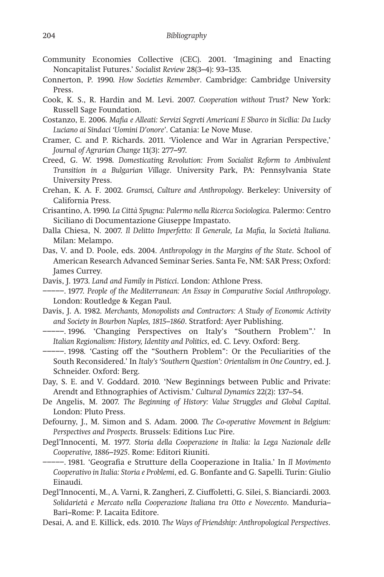- Community Economies Collective (CEC). 2001. 'Imagining and Enacting Noncapitalist Futures.' *Socialist Review* 28(3–4): 93–135.
- Connerton, P. 1990. *How Societies Remember*. Cambridge: Cambridge University Press.
- Cook, K. S., R. Hardin and M. Levi. 2007. *Cooperation without Trust?* New York: Russell Sage Foundation.
- Costanzo, E. 2006. *Mafia e Alleati: Servizi Segreti Americani E Sbarco in Sicilia: Da Lucky Luciano ai Sindaci 'Uomini D'onore'*. Catania: Le Nove Muse.
- Cramer, C. and P. Richards. 2011. 'Violence and War in Agrarian Perspective,' *Journal of Agrarian Change* 11(3): 277–97.
- Creed, G. W. 1998. *Domesticating Revolution: From Socialist Reform to Ambivalent Transition in a Bulgarian Village*. University Park, PA: Pennsylvania State University Press.
- Crehan, K. A. F. 2002. *Gramsci, Culture and Anthropology*. Berkeley: University of California Press.
- Crisantino, A. 1990. *La Città Spugna: Palermo nella Ricerca Sociologica.* Palermo: Centro Siciliano di Documentazione Giuseppe Impastato.
- Dalla Chiesa, N. 2007. *Il Delitto Imperfetto: Il Generale, La Mafia, la Società Italiana.*  Milan: Melampo.
- Das, V. and D. Poole, eds. 2004. *Anthropology in the Margins of the State*. School of American Research Advanced Seminar Series. Santa Fe, NM: SAR Press; Oxford: James Currey.
- Davis, J. 1973. *Land and Family in Pisticci*. London: Athlone Press.
- −−−−−. 1977. *People of the Mediterranean: An Essay in Comparative Social Anthropology*. London: Routledge & Kegan Paul.
- Davis, J. A. 1982. *Merchants, Monopolists and Contractors: A Study of Economic Activity and Society in Bourbon Naples, 1815–1860*. Stratford: Ayer Publishing.
- −−−−−. 1996. 'Changing Perspectives on Italy's "Southern Problem".' In *Italian Regionalism: History, Identity and Politics*, ed. C. Levy. Oxford: Berg.
- −−−−−. 1998. 'Casting off the "Southern Problem": Or the Peculiarities of the South Reconsidered.' In *Italy's 'Southern Question': Orientalism in One Country*, ed. J. Schneider. Oxford: Berg.
- Day, S. E. and V. Goddard. 2010. 'New Beginnings between Public and Private: Arendt and Ethnographies of Activism.' *Cultural Dynamics* 22(2): 137–54.
- De Angelis, M. 2007. *The Beginning of History: Value Struggles and Global Capital*. London: Pluto Press.
- Defourny, J., M. Simon and S. Adam. 2000. *The Co-operative Movement in Belgium: Perspectives and Prospects*. Brussels: Editions Luc Pire.
- Degl'Innocenti, M. 1977. *Storia della Cooperazione in Italia: la Lega Nazionale delle Cooperative, 1886–1925*. Rome: Editori Riuniti.

−−−−−. 1981. 'Geografia e Strutture della Cooperazione in Italia.' In *Il Movimento Cooperativo in Italia: Storia e Problemi*, ed. G. Bonfante and G. Sapelli. Turin: Giulio Einaudi.

- Degl'Innocenti, M., A. Varni, R. Zangheri, Z. Ciuffoletti, G. Silei, S. Bianciardi. 2003. *Solidarietà e Mercato nella Cooperazione Italiana tra Otto e Novecento*. Manduria– Bari–Rome: P. Lacaita Editore.
- Desai, A. and E. Killick, eds. 2010. *The Ways of Friendship: Anthropological Perspectives*.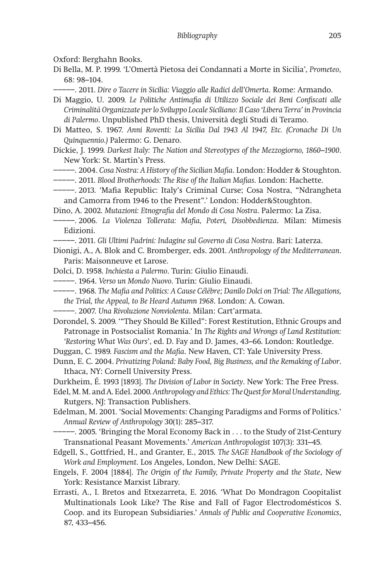Oxford: Berghahn Books.

- Di Bella, M. P. 1999. 'L'Omertà Pietosa dei Condannati a Morte in Sicilia', *Prometeo*, 68: 98–104.
	- −−−−−. 2011. *Dire o Tacere in Sicilia: Viaggio alle Radici dell'Omerta*. Rome: Armando.
- Di Maggio, U. 2009. *Le Politiche Antimafia di Utilizzo Sociale dei Beni Confiscati alle Criminalità Organizzate per lo Sviluppo Locale Siciliano: Il Caso 'Libera Terra' in Provincia di Palermo*. Unpublished PhD thesis, Università degli Studi di Teramo.
- Di Matteo, S. 1967. *Anni Roventi: La Sicilia Dal 1943 Al 1947, Etc. (Cronache Di Un Quinquennio.)* Palermo: G. Denaro.
- Dickie, J. 1999. *Darkest Italy: The Nation and Stereotypes of the Mezzogiorno, 1860–1900*. New York: St. Martin's Press.
- −−−−−. 2004. *Cosa Nostra: A History of the Sicilian Mafia*. London: Hodder & Stoughton.
- −−−−−. 2011. *Blood Brotherhoods: The Rise of the Italian Mafias*. London: Hachette.
- −−−−−. 2013. 'Mafia Republic: Italy's Criminal Curse; Cosa Nostra, "Ndrangheta and Camorra from 1946 to the Present".' London: Hodder&Stoughton.
- Dino, A. 2002. *Mutazioni: Etnografia del Mondo di Cosa Nostra*. Palermo: La Zisa.
- −−−−−. 2006. *La Violenza Tollerata: Mafia, Poteri, Disobbedienza*. Milan: Mimesis Edizioni.
- −−−−−. 2011. *Gli Ultimi Padrini: Indagine sul Governo di Cosa Nostra*. Bari: Laterza.
- Dionigi, A., A. Blok and C. Bromberger, eds. 2001. *Anthropology of the Mediterranean*. Paris: Maisonneuve et Larose.
- Dolci, D. 1958. *Inchiesta a Palermo*. Turin: Giulio Einaudi.
- −−−−−. 1964. *Verso un Mondo Nuovo*. Turin: Giulio Einaudi.
- −−−−−. 1968. *The Mafia and Politics: A Cause Célèbre; Danilo Dolci on Trial: The Allegations, the Trial, the Appeal, to Be Heard Autumn 1968*. London: A. Cowan.
- −−−−−. 2007. *Una Rivoluzione Nonviolenta*. Milan: Cart'armata.

Dorondel, S. 2009. '"They Should Be Killed": Forest Restitution, Ethnic Groups and Patronage in Postsocialist Romania.' In *The Rights and Wrongs of Land Restitution: 'Restoring What Was Ours'*, ed. D. Fay and D. James, 43–66. London: Routledge.

- Duggan, C. 1989. *Fascism and the Mafia*. New Haven, CT: Yale University Press.
- Dunn, E. C. 2004. *Privatizing Poland: Baby Food, Big Business, and the Remaking of Labor*. Ithaca, NY: Cornell University Press.
- Durkheim, É. 1993 [1893]. *The Division of Labor in Society*. New York: The Free Press.
- Edel, M. M. and A. Edel. 2000. *Anthropology and Ethics: The Quest for Moral Understanding*. Rutgers, NJ: Transaction Publishers.
- Edelman, M. 2001. 'Social Movements: Changing Paradigms and Forms of Politics.' *Annual Review of Anthropology* 30(1): 285–317.
- −−−−−. 2005. 'Bringing the Moral Economy Back in . . . to the Study of 21st-Century Transnational Peasant Movements.' *American Anthropologist* 107(3): 331–45.
- Edgell, S., Gottfried, H., and Granter, E., 2015. *The SAGE Handbook of the Sociology of Work and Employment*. Los Angeles, London, New Delhi: SAGE.
- Engels, F. 2004 [1884]. *The Origin of the Family, Private Property and the State*, New York: Resistance Marxist Library.
- Errasti, A., I. Bretos and Etxezarreta, E. 2016. 'What Do Mondragon Coopitalist Multinationals Look Like? The Rise and Fall of Fagor Electrodomésticos S. Coop. and its European Subsidiaries.' *Annals of Public and Cooperative Economics*, 87, 433–456.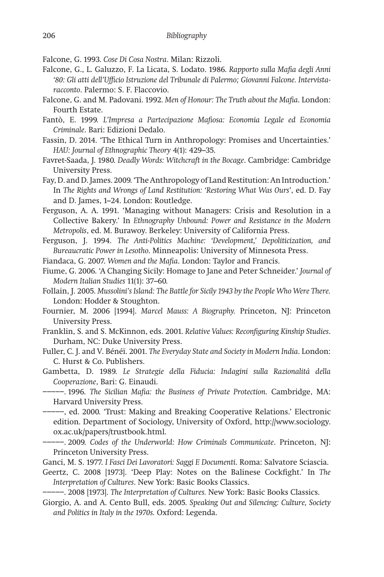Falcone, G. 1993. *Cose Di Cosa Nostra*. Milan: Rizzoli.

- Falcone, G., L. Galuzzo, F. La Licata, S. Lodato. 1986. *Rapporto sulla Mafia degli Anni '80: Gli atti dell'Ufficio Istruzione del Tribunale di Palermo; Giovanni Falcone. Intervistaracconto*. Palermo: S. F. Flaccovio.
- Falcone, G. and M. Padovani. 1992. *Men of Honour: The Truth about the Mafia*. London: Fourth Estate.
- Fantò, E. 1999. *L'Impresa a Partecipazione Mafiosa: Economia Legale ed Economia Criminale*. Bari: Edizioni Dedalo.
- Fassin, D. 2014. 'The Ethical Turn in Anthropology: Promises and Uncertainties.' *HAU: Journal of Ethnographic Theory* 4(1): 429–35.
- Favret-Saada, J. 1980. *Deadly Words: Witchcraft in the Bocage*. Cambridge: Cambridge University Press.
- Fay, D. and D. James. 2009. 'The Anthropology of Land Restitution: An Introduction.' In *The Rights and Wrongs of Land Restitution: 'Restoring What Was Ours'*, ed. D. Fay and D. James, 1–24. London: Routledge.
- Ferguson, A. A. 1991. 'Managing without Managers: Crisis and Resolution in a Collective Bakery.' In *Ethnography Unbound: Power and Resistance in the Modern Metropolis*, ed. M. Burawoy. Berkeley: University of California Press.

Ferguson, J. 1994. *The Anti-Politics Machine: 'Development,' Depoliticization, and Bureaucratic Power in Lesotho*. Minneapolis: University of Minnesota Press.

Fiandaca, G. 2007. *Women and the Mafia*. London: Taylor and Francis.

- Fiume, G. 2006. 'A Changing Sicily: Homage to Jane and Peter Schneider.' *Journal of Modern Italian Studies* 11(1): 37–60.
- Follain, J. 2005. *Mussolini's Island: The Battle for Sicily 1943 by the People Who Were There.* London: Hodder & Stoughton.
- Fournier, M. 2006 [1994]. *Marcel Mauss: A Biography.* Princeton, NJ: Princeton University Press.
- Franklin, S. and S. McKinnon, eds. 2001. *Relative Values: Reconfiguring Kinship Studies*. Durham, NC: Duke University Press.
- Fuller, C. J. and V. Bénéï. 2001. *The Everyday State and Society in Modern India*. London: C. Hurst & Co. Publishers.
- Gambetta, D. 1989. *Le Strategie della Fiducia: Indagini sulla Razionalità della Cooperazione*, Bari: G. Einaudi.
	- −−−−−. 1996. *The Sicilian Mafia: the Business of Private Protection*. Cambridge, MA: Harvard University Press.
- −−−−−, ed. 2000. 'Trust: Making and Breaking Cooperative Relations.' Electronic edition. Department of Sociology, University of Oxford, http://www.sociology. ox.ac.uk/papers/trustbook.html.
- −−−−−. 2009. *Codes of the Underworld: How Criminals Communicate*. Princeton, NJ: Princeton University Press.
- Ganci, M. S. 1977. *I Fasci Dei Lavoratori: Saggi E Documenti*. Roma: Salvatore Sciascia.
- Geertz, C. 2008 [1973]. 'Deep Play: Notes on the Balinese Cockfight.' In *The Interpretation of Cultures*. New York: Basic Books Classics.

−−−−−. 2008 [1973]. *The Interpretation of Cultures.* New York: Basic Books Classics.

Giorgio, A. and A. Cento Bull, eds. 2005. *Speaking Out and Silencing: Culture, Society and Politics in Italy in the 1970s.* Oxford: Legenda.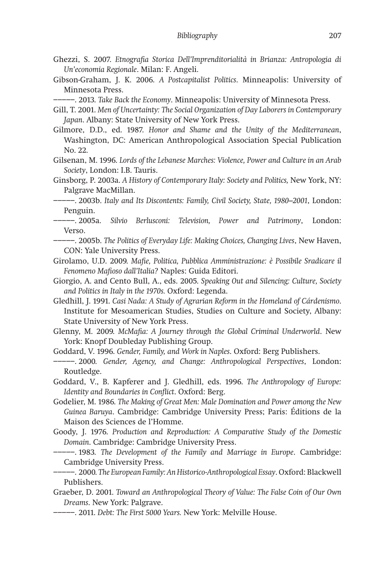- Ghezzi, S. 2007. *Etnografia Storica Dell'Imprenditorialità in Brianza: Antropologia di Un'economia Regionale*. Milan: F. Angeli.
- Gibson-Graham, J. K. 2006. *A Postcapitalist Politics*. Minneapolis: University of Minnesota Press.
- −−−−−. 2013. *Take Back the Economy*. Minneapolis: University of Minnesota Press.
- Gill, T. 2001. *Men of Uncertainty: The Social Organization of Day Laborers in Contemporary Japan*. Albany: State University of New York Press.
- Gilmore, D.D., ed. 1987. *Honor and Shame and the Unity of the Mediterranean*, Washington, DC: American Anthropological Association Special Publication No. 22.
- Gilsenan, M. 1996. *Lords of the Lebanese Marches: Violence, Power and Culture in an Arab Society*, London: I.B. Tauris.
- Ginsborg, P. 2003a. *A History of Contemporary Italy: Society and Politics,* New York, NY: Palgrave MacMillan.
- −−−−−. 2003b. *Italy and Its Discontents: Family, Civil Society, State, 1980–2001*, London: Penguin.
- −−−−−. 2005a. *Silvio Berlusconi: Television, Power and Patrimony*, London: Verso.
- −−−−−. 2005b. *The Politics of Everyday Life: Making Choices, Changing Lives*, New Haven, CON: Yale University Press.
- Girolamo, U.D. 2009. *Mafie, Politica, Pubblica Amministrazione: è Possibile Sradicare il Fenomeno Mafioso dall'Italia?* Naples: Guida Editori.
- Giorgio, A. and Cento Bull, A., eds. 2005. *Speaking Out and Silencing: Culture, Society and Politics in Italy in the 1970s.* Oxford: Legenda.
- Gledhill, J. 1991. *Casi Nada: A Study of Agrarian Reform in the Homeland of Cárdenismo*. Institute for Mesoamerican Studies, Studies on Culture and Society, Albany: State University of New York Press.
- Glenny, M. 2009. *McMafia: A Journey through the Global Criminal Underworld*. New York: Knopf Doubleday Publishing Group.
- Goddard, V. 1996. *Gender, Family, and Work in Naples*. Oxford: Berg Publishers.
- −−−−−. 2000. *Gender, Agency, and Change: Anthropological Perspectives*, London: Routledge.
- Goddard, V., B. Kapferer and J. Gledhill, eds. 1996. *The Anthropology of Europe: Identity and Boundaries in Conflict*. Oxford: Berg.
- Godelier, M. 1986. *The Making of Great Men: Male Domination and Power among the New Guinea Baruya*. Cambridge: Cambridge University Press; Paris: Éditions de la Maison des Sciences de l'Homme.
- Goody, J. 1976. *Production and Reproduction: A Comparative Study of the Domestic Domain*. Cambridge: Cambridge University Press.

−−−−−. 1983. *The Development of the Family and Marriage in Europe*. Cambridge: Cambridge University Press.

−−−−−. 2000. *The European Family: An Historico-Anthropological Essay*. Oxford: Blackwell Publishers.

- Graeber, D. 2001. *Toward an Anthropological Theory of Value: The False Coin of Our Own Dreams*. New York: Palgrave.
- −−−−−. 2011. *Debt: The First 5000 Years.* New York: Melville House.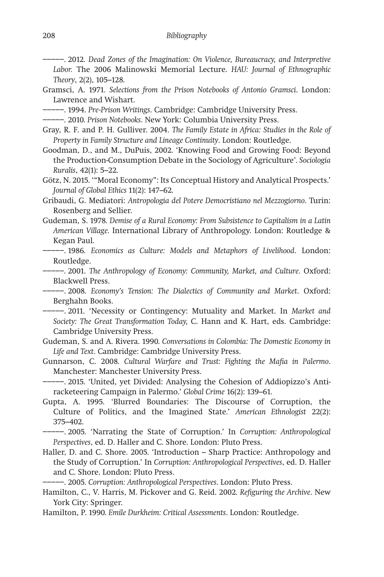−−−−−. 2012. *Dead Zones of the Imagination: On Violence, Bureaucracy, and Interpretive Labor.* The 2006 Malinowski Memorial Lecture. *HAU: Journal of Ethnographic Theory*, 2(2), 105–128.

Gramsci, A. 1971. *Selections from the Prison Notebooks of Antonio Gramsci*. London: Lawrence and Wishart.

−−−−−. 1994. *Pre-Prison Writings*. Cambridge: Cambridge University Press.

−−−−−. 2010. *Prison Notebooks*. New York: Columbia University Press.

- Gray, R. F. and P. H. Gulliver. 2004. *The Family Estate in Africa: Studies in the Role of Property in Family Structure and Lineage Continuity*. London: Routledge.
- Goodman, D., and M., DuPuis, 2002. 'Knowing Food and Growing Food: Beyond the Production-Consumption Debate in the Sociology of Agriculture'. *Sociologia Ruralis*, 42(1): 5–22.
- Götz, N. 2015. '"Moral Economy": Its Conceptual History and Analytical Prospects.' *Journal of Global Ethics* 11(2): 147–62.

Gribaudi, G. Mediatori: *Antropologia del Potere Democristiano nel Mezzogiorno*. Turin: Rosenberg and Sellier.

Gudeman, S. 1978. *Demise of a Rural Economy: From Subsistence to Capitalism in a Latin American Village.* International Library of Anthropology. London: Routledge & Kegan Paul.

- −−−−−. 1986. *Economics as Culture: Models and Metaphors of Livelihood*. London: Routledge.
- −−−−−. 2001. *The Anthropology of Economy: Community, Market, and Culture.* Oxford: Blackwell Press.

−−−−−. 2008. *Economy's Tension: The Dialectics of Community and Market*. Oxford: Berghahn Books.

−−−−−. 2011. 'Necessity or Contingency: Mutuality and Market. In *Market and Society: The Great Transformation Today,* C. Hann and K. Hart, eds. Cambridge: Cambridge University Press.

Gudeman, S. and A. Rivera. 1990. *Conversations in Colombia: The Domestic Economy in Life and Text*. Cambridge: Cambridge University Press.

Gunnarson, C. 2008. *Cultural Warfare and Trust: Fighting the Mafia in Palermo*. Manchester: Manchester University Press.

−−−−−. 2015. 'United, yet Divided: Analysing the Cohesion of Addiopizzo's Antiracketeering Campaign in Palermo.' *Global Crime* 16(2): 139–61.

Gupta, A. 1995. 'Blurred Boundaries: The Discourse of Corruption, the Culture of Politics, and the Imagined State.' *American Ethnologist* 22(2): 375–402.

−−−−−. 2005. 'Narrating the State of Corruption.' In *Corruption: Anthropological Perspectives*, ed. D. Haller and C. Shore. London: Pluto Press.

Haller, D. and C. Shore. 2005. 'Introduction – Sharp Practice: Anthropology and the Study of Corruption.' In *Corruption: Anthropological Perspectives*, ed. D. Haller and C. Shore. London: Pluto Press.

−−−−−. 2005. *Corruption: Anthropological Perspectives*. London: Pluto Press.

- Hamilton, C., V. Harris, M. Pickover and G. Reid. 2002. *Refiguring the Archive*. New York City: Springer.
- Hamilton, P. 1990. *Emile Durkheim: Critical Assessments*. London: Routledge.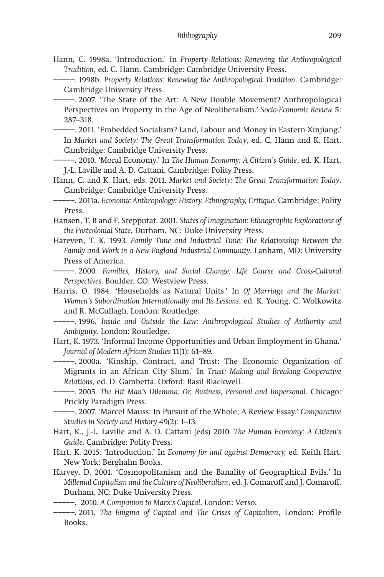- Hann, C. 1998a. 'Introduction.' In *Property Relations: Renewing the Anthropological Tradition*, ed. C. Hann. Cambridge: Cambridge University Press.
- −−−−−. 1998b. *Property Relations: Renewing the Anthropological Tradition*. Cambridge: Cambridge University Press.

−−−−−. 2007. 'The State of the Art: A New Double Movement? Anthropological Perspectives on Property in the Age of Neoliberalism.' *Socio-Economic Review* 5: 287–318.

−−−−−. 2011. 'Embedded Socialism? Land, Labour and Money in Eastern Xinjiang.' In *Market and Society: The Great Transformation Today*, ed. C. Hann and K. Hart. Cambridge: Cambridge University Press.

- −−−−−. 2010. 'Moral Economy.' In *The Human Economy: A Citizen's Guide*, ed. K. Hart, J.-L. Laville and A. D. Cattani. Cambridge: Polity Press.
- Hann, C. and K. Hart, eds. 2011. *Market and Society: The Great Transformation Today*. Cambridge: Cambridge University Press.

−−−−−. 2011a. *Economic Anthropology: History, Ethnography, Critique*. Cambridge: Polity Press.

- Hansen, T. B and F. Stepputat. 2001. *States of Imagination: Ethnographic Explorations of the Postcolonial State*, Durham, NC: Duke University Press.
- Hareven, T. K. 1993. *Family Time and Industrial Time: The Relationship Between the Family and Work in a New England Industrial Community*. Lanham, MD: University Press of America.
- −−−−−. 2000. *Families, History, and Social Change: Life Course and Cross-Cultural Perspectives*. Boulder, CO: Westview Press.
- Harris, O. 1984. 'Households as Natural Units.' In *Of Marriage and the Market: Women's Subordination Internationally and Its Lessons*, ed. K. Young, C. Wolkowitz and R. McCullagh. London: Routledge.

−−−−−. 1996. *Inside and Outside the Law: Anthropological Studies of Authority and Ambiguity*. London: Routledge.

Hart, K. 1973. 'Informal Income Opportunities and Urban Employment in Ghana.' *Journal of Modern African Studies* 11(1): 61–89.

−−−−−. 2000a. 'Kinship, Contract, and Trust: The Economic Organization of Migrants in an African City Slum.' In *Trust: Making and Breaking Cooperative Relations*, ed. D. Gambetta. Oxford: Basil Blackwell.

−−−−−. 2005. *The Hit Man's Dilemma: Or, Business, Personal and Impersonal*. Chicago: Prickly Paradigm Press.

−−−−−. 2007. 'Marcel Mauss: In Pursuit of the Whole; A Review Essay.' *Comparative Studies in Society and History* 49(2): 1–13.

- Hart, K., J.-L. Laville and A. D. Cattani (eds) 2010. *The Human Economy: A Citizen's Guide*. Cambridge: Polity Press.
- Hart, K. 2015. 'Introduction.' In *Economy for and against Democracy,* ed. Keith Hart*.*  New York: Berghahn Books.
- Harvey, D. 2001. 'Cosmopolitanism and the Banality of Geographical Evils.' In *Millenial Capitalism and the Culture of Neoliberalism*, ed. J. Comaroff and J. Comaroff. Durham, NC: Duke University Press.

−−−−−. 2010. *A Companion to Marx's Capital*. London: Verso.

−−−−−. 2011. *The Enigma of Capital and The Crises of Capitalism*, London: Profile Books.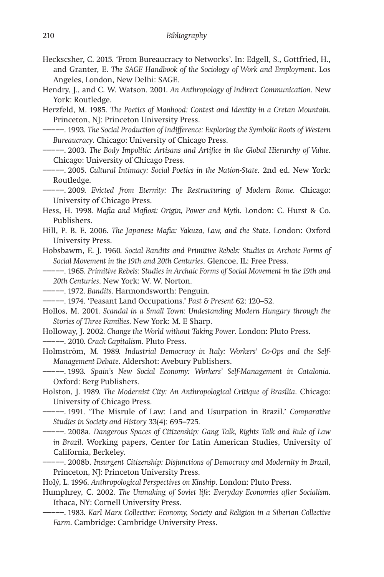Heckscsher, C. 2015. 'From Bureaucracy to Networks'. In: Edgell, S., Gottfried, H., and Granter, E. *The SAGE Handbook of the Sociology of Work and Employment*. Los Angeles, London, New Delhi: SAGE.

Hendry, J., and C. W. Watson. 2001. *An Anthropology of Indirect Communication*. New York: Routledge.

Herzfeld, M. 1985. *The Poetics of Manhood: Contest and Identity in a Cretan Mountain*. Princeton, NJ: Princeton University Press.

−−−−−. 1993. *The Social Production of Indifference: Exploring the Symbolic Roots of Western Bureaucracy*. Chicago: University of Chicago Press.

−−−−−. 2003. *The Body Impolitic: Artisans and Artifice in the Global Hierarchy of Value*. Chicago: University of Chicago Press.

−−−−−. 2005. *Cultural Intimacy: Social Poetics in the Nation-State.* 2nd ed. New York: Routledge.

−−−−−. 2009. *Evicted from Eternity: The Restructuring of Modern Rome.* Chicago: University of Chicago Press.

Hess, H. 1998. *Mafia and Mafiosi: Origin, Power and Myth*. London: C. Hurst & Co. Publishers.

Hill, P. B. E. 2006. *The Japanese Mafia: Yakuza, Law, and the State*. London: Oxford University Press.

Hobsbawm, E. J. 1960. *Social Bandits and Primitive Rebels: Studies in Archaic Forms of Social Movement in the 19th and 20th Centuries*. Glencoe, IL: Free Press.

−−−−−. 1965. *Primitive Rebels: Studies in Archaic Forms of Social Movement in the 19th and 20th Centuries*. New York: W. W. Norton.

−−−−−. 1972. *Bandits*. Harmondsworth: Penguin.

−−−−−. 1974. 'Peasant Land Occupations.' *Past & Present* 62: 120–52.

Hollos, M. 2001. *Scandal in a Small Town: Undestanding Modern Hungary through the Stories of Three Families*. New York: M. E Sharp.

Holloway, J. 2002. *Change the World without Taking Power*. London: Pluto Press.

−−−−−. 2010. *Crack Capitalism*. Pluto Press.

Holmström, M. 1989. *Industrial Democracy in Italy: Workers' Co-Ops and the Self-Management Debate*. Aldershot: Avebury Publishers.

−−−−−. 1993. *Spain's New Social Economy: Workers' Self-Management in Catalonia*. Oxford: Berg Publishers.

Holston, J. 1989. *The Modernist City: An Anthropological Critique of Brasília*. Chicago: University of Chicago Press.

−−−−−. 1991. 'The Misrule of Law: Land and Usurpation in Brazil.' *Comparative Studies in Society and History* 33(4): 695–725.

−−−−−. 2008a. *Dangerous Spaces of Citizenship: Gang Talk, Rights Talk and Rule of Law in Brazil*. Working papers, Center for Latin American Studies, University of California, Berkeley.

−−−−−. 2008b. *Insurgent Citizenship: Disjunctions of Democracy and Modernity in Brazil*, Princeton, NJ: Princeton University Press.

Holý, L. 1996. *Anthropological Perspectives on Kinship*. London: Pluto Press.

Humphrey, C. 2002. *The Unmaking of Soviet life: Everyday Economies after Socialism*. Ithaca, NY: Cornell University Press.

−−−−−. 1983. *Karl Marx Collective: Economy, Society and Religion in a Siberian Collective Farm*. Cambridge: Cambridge University Press.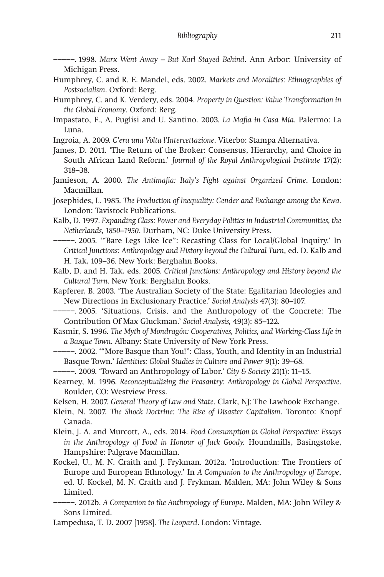−−−−−. 1998. *Marx Went Away – But Karl Stayed Behind*. Ann Arbor: University of Michigan Press.

- Humphrey, C. and R. E. Mandel, eds. 2002. *Markets and Moralities: Ethnographies of Postsocialism*. Oxford: Berg.
- Humphrey, C. and K. Verdery, eds. 2004. *Property in Question: Value Transformation in the Global Economy*. Oxford: Berg.
- Impastato, F., A. Puglisi and U. Santino. 2003. *La Mafia in Casa Mia*. Palermo: La Luna.
- Ingroia, A. 2009. *C'era una Volta l'Intercettazione*. Viterbo: Stampa Alternativa.
- James, D. 2011. 'The Return of the Broker: Consensus, Hierarchy, and Choice in South African Land Reform.' *Journal of the Royal Anthropological Institute* 17(2): 318–38.
- Jamieson, A. 2000. *The Antimafia: Italy's Fight against Organized Crime*. London: Macmillan.

Josephides, L. 1985. *The Production of Inequality: Gender and Exchange among the Kewa.* London: Tavistock Publications.

- Kalb, D. 1997*. Expanding Class: Power and Everyday Politics in Industrial Communities, the Netherlands, 1850–1950*. Durham, NC: Duke University Press.
- −−−−−. 2005. '"Bare Legs Like Ice": Recasting Class for Local/Global Inquiry.' In *Critical Junctions: Anthropology and History beyond the Cultural Turn*, ed. D. Kalb and H. Tak, 109–36. New York: Berghahn Books.
- Kalb, D. and H. Tak, eds. 2005. *Critical Junctions: Anthropology and History beyond the Cultural Turn*. New York: Berghahn Books.
- Kapferer, B. 2003. 'The Australian Society of the State: Egalitarian Ideologies and New Directions in Exclusionary Practice.' *Social Analysis* 47(3): 80–107.
- −−−−−. 2005. 'Situations, Crisis, and the Anthropology of the Concrete: The Contribution Of Max Gluckman.' *Social Analysis,* 49(3): 85–122.
- Kasmir, S. 1996. *The Myth of Mondragón: Cooperatives, Politics, and Working-Class Life in a Basque Town*. Albany: State University of New York Press.
- −−−−−. 2002. '"More Basque than You!": Class, Youth, and Identity in an Industrial Basque Town.' *Identities: Global Studies in Culture and Power* 9(1): 39–68.
- −−−−−. 2009. 'Toward an Anthropology of Labor.' *City & Society* 21(1): 11–15.
- Kearney, M. 1996. *Reconceptualizing the Peasantry: Anthropology in Global Perspective*. Boulder, CO: Westview Press.

Kelsen, H. 2007. *General Theory of Law and State*. Clark, NJ: The Lawbook Exchange.

- Klein, N. 2007. *The Shock Doctrine: The Rise of Disaster Capitalism*. Toronto: Knopf Canada.
- Klein, J. A. and Murcott, A., eds. 2014. *Food Consumption in Global Perspective: Essays in the Anthropology of Food in Honour of Jack Goody.* Houndmills, Basingstoke, Hampshire: Palgrave Macmillan.
- Kockel, U., M. N. Craith and J. Frykman. 2012a. 'Introduction: The Frontiers of Europe and European Ethnology.' In *A Companion to the Anthropology of Europe*, ed. U. Kockel, M. N. Craith and J. Frykman. Malden, MA: John Wiley & Sons Limited.
- −−−−−. 2012b. *A Companion to the Anthropology of Europe*. Malden, MA: John Wiley & Sons Limited.
- Lampedusa, T. D. 2007 [1958]. *The Leopard*. London: Vintage.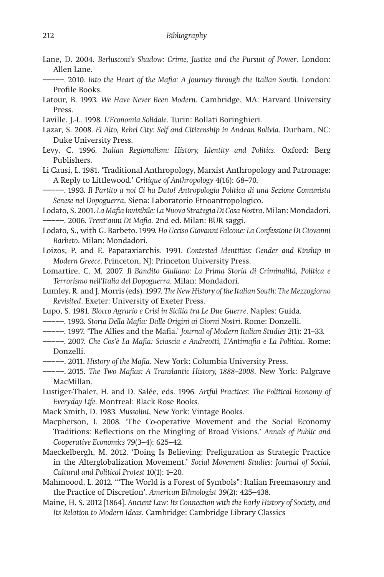- Lane, D. 2004. *Berlusconi's Shadow: Crime, Justice and the Pursuit of Power*. London: Allen Lane.
- −−−−−. 2010. *Into the Heart of the Mafia: A Journey through the Italian South*. London: Profile Books.
- Latour, B. 1993. *We Have Never Been Modern*. Cambridge, MA: Harvard University Press.
- Laville, J.-L. 1998. *L'Economia Solidale*. Turin: Bollati Boringhieri.
- Lazar, S. 2008. *El Alto, Rebel City: Self and Citizenship in Andean Bolivia*. Durham, NC: Duke University Press.
- Levy, C. 1996. *Italian Regionalism: History, Identity and Politics*. Oxford: Berg Publishers.

Li Causi, L. 1981. 'Traditional Anthropology, Marxist Anthropology and Patronage: A Reply to Littlewood.' *Critique of Anthropology* 4(16): 68–70.

−−−−−. 1993. *Il Partito a noi Ci ha Dato! Antropologia Politica di una Sezione Comunista Senese nel Dopoguerra*. Siena: Laboratorio Etnoantropologico.

Lodato, S. 2001. *La Mafia Invisibile: La Nuova Strategia Di Cosa Nostra*. Milan: Mondadori. −−−−−. 2006. *Trent'anni Di Mafia.* 2nd ed. Milan: BUR saggi.

Lodato, S., with G. Barbeto. 1999. *Ho Ucciso Giovanni Falcone: La Confessione Di Giovanni Barbeto*. Milan: Mondadori.

Loizos, P. and E. Papataxiarchis. 1991. *Contested Identities: Gender and Kinship in Modern Greece*. Princeton, NJ: Princeton University Press.

Lomartire, C. M. 2007. *Il Bandito Giuliano: La Prima Storia di Criminalità, Politica e Terrorismo nell'Italia del Dopoguerra.* Milan: Mondadori.

- Lumley, R. and J. Morris (eds). 1997. *The New History of the Italian South: The Mezzogiorno Revisited*. Exeter: University of Exeter Press.
- Lupo, S. 1981. *Blocco Agrario e Crisi in Sicilia tra Le Due Guerre*. Naples: Guida.

−−−−−. 1993. *Storia Della Mafia: Dalle Origini ai Giorni Nostri*. Rome: Donzelli.

- −−−−−. 1997. 'The Allies and the Mafia.' *Journal of Modern Italian Studies 2*(1): 21–33.
- −−−−−. 2007. *Che Cos'è La Mafia: Sciascia e Andreotti, L'Antimafia e La Politica*. Rome: Donzelli.
- −−−−−. 2011. *History of the Mafia*. New York: Columbia University Press.
- −−−−−. 2015. *The Two Mafias: A Translantic History, 1888–2008*. New York: Palgrave MacMillan.
- Lustiger-Thaler, H. and D. Salée, eds. 1996. *Artful Practices: The Political Economy of Everyday Life*. Montreal: Black Rose Books.
- Mack Smith, D. 1983. *Mussolini*, New York: Vintage Books.
- Macpherson, I. 2008. 'The Co-operative Movement and the Social Economy Traditions: Reflections on the Mingling of Broad Visions.' *Annals of Public and Cooperative Economics* 79(3–4): 625–42.
- Maeckelbergh, M. 2012. 'Doing Is Believing: Prefiguration as Strategic Practice in the Alterglobalization Movement.' *Social Movement Studies: Journal of Social, Cultural and Political Protest* 10(1): 1–20.
- Mahmoood, L. 2012. '"The World is a Forest of Symbols": Italian Freemasonry and the Practice of Discretion'. *American Ethnologist* 39(2): 425–438.
- Maine, H. S. 2012 [1864]. *Ancient Law: Its Connection with the Early History of Society, and Its Relation to Modern Ideas*. Cambridge: Cambridge Library Classics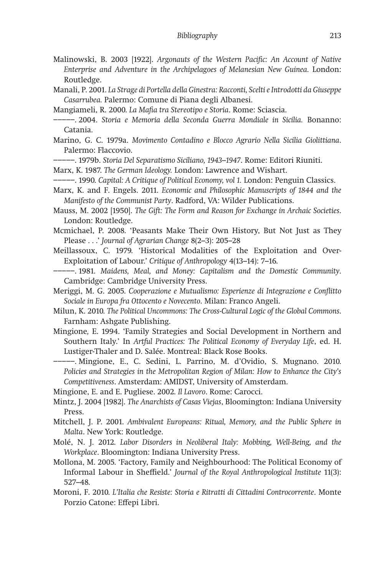- Malinowski, B. 2003 [1922]. *Argonauts of the Western Pacific: An Account of Native*  Enterprise and Adventure in the Archipelagoes of Melanesian New Guinea. London: Routledge.
- Manali, P. 2001. *La Strage di Portella della Ginestra: Racconti, Scelti e Introdotti da Giuseppe Casarrubea.* Palermo: Comune di Piana degli Albanesi.

Mangiameli, R. 2000. *La Mafia tra Stereotipo e Storia*. Rome: Sciascia.

- −−−−−. 2004. *Storia e Memoria della Seconda Guerra Mondiale in Sicilia.* Bonanno: Catania.
- Marino, G. C. 1979a. *Movimento Contadino e Blocco Agrario Nella Sicilia Giolittiana*. Palermo: Flaccovio.
- −−−−−. 1979b. *Storia Del Separatismo Siciliano, 1943–1947*. Rome: Editori Riuniti.

Marx, K. 1987. *The German Ideology.* London: Lawrence and Wishart.

- −−−−−. 1990. *Capital: A Critique of Political Economy, vol 1.* London: Penguin Classics.
- Marx, K. and F. Engels. 2011. *Economic and Philosophic Manuscripts of 1844 and the Manifesto of the Communist Party*. Radford, VA: Wilder Publications.
- Mauss, M. 2002 [1950]. *The Gift: The Form and Reason for Exchange in Archaic Societies*. London: Routledge.
- Mcmichael, P. 2008. 'Peasants Make Their Own History, But Not Just as They Please . . .' *Journal of Agrarian Change* 8(2–3): 205–28
- Meillassoux, C. 1979. 'Historical Modalities of the Exploitation and Over-Exploitation of Labour.' *Critique of Anthropology* 4(13–14): 7–16.
- −−−−−. 1981. *Maidens, Meal, and Money: Capitalism and the Domestic Community*. Cambridge: Cambridge University Press.
- Meriggi, M. G. 2005. *Cooperazione e Mutualismo: Esperienze di Integrazione e Conflitto Sociale in Europa fra Ottocento e Novecento*. Milan: Franco Angeli.
- Milun, K. 2010. *The Political Uncommons: The Cross-Cultural Logic of the Global Commons*. Farnham: Ashgate Publishing.
- Mingione*,* E. 1994. 'Family Strategies and Social Development in Northern and Southern Italy.' In *Artful Practices: The Political Economy of Everyday Life*, ed. H. Lustiger-Thaler and D. Salée. Montreal: Black Rose Books.
- −−−−−. Mingione, E., C. Sedini, L. Parrino, M. d'Ovidio, S. Mugnano. 2010. *Policies and Strategies in the Metropolitan Region of Milan: How to Enhance the City's Competitiveness*. Amsterdam: AMIDST, University of Amsterdam.

Mingione, E. and E. Pugliese. 2002. *Il Lavoro*. Rome: Carocci.

- Mintz, J. 2004 [1982]. *The Anarchists of Casas Viejas*, Bloomington: Indiana University Press.
- Mitchell, J. P. 2001. *Ambivalent Europeans: Ritual, Memory, and the Public Sphere in Malta*. New York: Routledge.
- Molé, N. J. 2012. *Labor Disorders in Neoliberal Italy: Mobbing, Well-Being, and the Workplace*. Bloomington: Indiana University Press.
- Mollona, M. 2005. 'Factory, Family and Neighbourhood: The Political Economy of Informal Labour in Sheffield.' *Journal of the Royal Anthropological Institute* 11(3): 527–48.
- Moroni, F. 2010. *L'Italia che Resiste: Storia e Ritratti di Cittadini Controcorrente*. Monte Porzio Catone: Effepi Libri.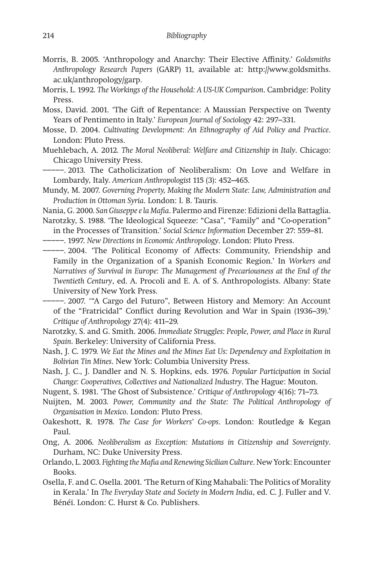- Morris, B. 2005. 'Anthropology and Anarchy: Their Elective Affinity.' *Goldsmiths Anthropology Research Papers* (GARP) 11, available at: http://www.goldsmiths. ac.uk/anthropology/garp.
- Morris, L. 1992. *The Workings of the Household: A US-UK Comparison*. Cambridge: Polity Press.
- Moss, David. 2001. 'The Gift of Repentance: A Maussian Perspective on Twenty Years of Pentimento in Italy.' *European Journal of Sociology* 42: 297–331.
- Mosse, D. 2004. *Cultivating Development: An Ethnography of Aid Policy and Practice*. London: Pluto Press.
- Muehlebach, A. 2012. *The Moral Neoliberal: Welfare and Citizenship in Italy*. Chicago: Chicago University Press.
- −−−−−. 2013. The Catholicization of Neoliberalism: On Love and Welfare in Lombardy, Italy. *American Anthropologist* 115 (3): 452–465.
- Mundy, M. 2007. *Governing Property, Making the Modern State: Law, Administration and Production in Ottoman Syria*. London: I. B. Tauris.

Nania, G. 2000. *San Giuseppe e la Mafia*. Palermo and Firenze: Edizioni della Battaglia.

Narotzky, S. 1988. 'The Ideological Squeeze: "Casa", "Family" and "Co-operation" in the Processes of Transition.' *Social Science Information* December 27: 559–81*.*

−−−−−. 1997. *New Directions in Economic Anthropology*. London: Pluto Press.

−−−−−. 2004. 'The Political Economy of Affects: Community, Friendship and Family in the Organization of a Spanish Economic Region.' In *Workers and Narratives of Survival in Europe: The Management of Precariousness at the End of the Twentieth Century*, ed. A. Procoli and E. A. of S. Anthropologists. Albany: State University of New York Press.

−−−−−. 2007. '"A Cargo del Futuro", Between History and Memory: An Account of the "Fratricidal" Conflict during Revolution and War in Spain (1936–39).' *Critique of Anthropology* 27(4): 411–29.

- Narotzky, S. and G. Smith. 2006. *Immediate Struggles: People, Power, and Place in Rural Spain*. Berkeley: University of California Press.
- Nash, J. C. 1979. *We Eat the Mines and the Mines Eat Us: Dependency and Exploitation in Bolivian Tin Mines*. New York: Columbia University Press.
- Nash, J. C., J. Dandler and N. S. Hopkins, eds. 1976. *Popular Participation in Social Change: Cooperatives, Collectives and Nationalized Industry*. The Hague: Mouton.

Nugent, S. 1981. 'The Ghost of Subsistence.' *Critique of Anthropology* 4(16): 71–73.

- Nuijten, M. 2003. *Power, Community and the State: The Political Anthropology of Organisation in Mexico*. London: Pluto Press.
- Oakeshott, R. 1978. *The Case for Workers' Co-ops*. London: Routledge & Kegan Paul.
- Ong, A. 2006. *Neoliberalism as Exception: Mutations in Citizenship and Sovereignty*. Durham, NC: Duke University Press.

Orlando, L. 2003. *Fighting the Mafia and Renewing Sicilian Culture*. New York: Encounter Books.

Osella, F. and C. Osella. 2001. 'The Return of King Mahabali: The Politics of Morality in Kerala.' In *The Everyday State and Society in Modern India*, ed. C. J. Fuller and V. Bénéï. London: C. Hurst & Co. Publishers.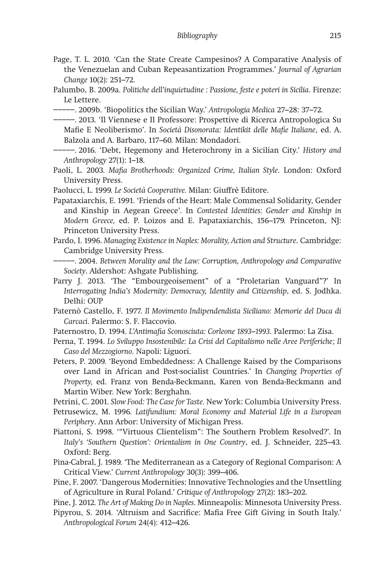Page, T. L. 2010. 'Can the State Create Campesinos? A Comparative Analysis of the Venezuelan and Cuban Repeasantization Programmes.' *Journal of Agrarian Change* 10(2): 251–72.

Palumbo, B. 2009a. *Politiche dell'inquietudine : Passione, feste e poteri in Sicilia*. Firenze: Le Lettere.

- −−−−−. 2009b. 'Biopolitics the Sicilian Way.' *Antropologia Medica* 27–28: 37–72.
- −−−−−. 2013. 'Il Viennese e Il Professore: Prospettive di Ricerca Antropologica Su Mafie E Neoliberismo'. In *Società Disonorata: Identikit delle Mafie Italiane*, ed. A. Balzola and A. Barbaro, 117–60. Milan: Mondadori.
- −−−−−. 2016. 'Debt, Hegemony and Heterochrony in a Sicilian City.' *History and Anthropology* 27(1): 1–18.
- Paoli, L. 2003. *Mafia Brotherhoods: Organized Crime, Italian Style*. London: Oxford University Press.
- Paolucci, L. 1999. *Le Società Cooperative.* Milan: Giuffrè Editore.
- Papataxiarchis, E. 1991. 'Friends of the Heart: Male Commensal Solidarity, Gender and Kinship in Aegean Greece'. In *Contested Identities: Gender and Kinship in Modern Greece,* ed. P. Loizos and E. Papataxiarchis, 156–179. Princeton, NJ: Princeton University Press.
- Pardo, I. 1996. *Managing Existence in Naples: Morality, Action and Structure*. Cambridge: Cambridge University Press.

−−−−−. 2004. *Between Morality and the Law: Corruption, Anthropology and Comparative Society*. Aldershot: Ashgate Publishing.

- Parry J. 2013. 'The "Embourgeoisement" of a "Proletarian Vanguard"?' In *Interrogating India's Modernity: Democracy, Identity and Citizenship*, ed. S. Jodhka. Delhi: OUP
- Paternò Castello, F. 1977. *Il Movimento Indipendendista Siciliano: Memorie del Duca di Carcaci*. Palermo: S. F. Flaccovio.
- Paternostro, D. 1994. *L'Antimafia Sconosciuta: Corleone 1893–1993*. Palermo: La Zisa.
- Perna, T. 1994. *Lo Sviluppo Insostenibile: La Crisi del Capitalismo nelle Aree Periferiche; Il Caso del Mezzogiorno*. Napoli: Liguori.
- Peters, P. 2009. 'Beyond Embeddedness: A Challenge Raised by the Comparisons over Land in African and Post-socialist Countries.' In *Changing Properties of Property,* ed. Franz von Benda-Beckmann, Karen von Benda-Beckmann and Martin Wiber. New York: Berghahn.
- Petrini, C. 2001. *Slow Food: The Case for Taste.* New York: Columbia University Press.
- Petrusewicz, M. 1996. *Latifundium: Moral Economy and Material Life in a European Periphery*. Ann Arbor: University of Michigan Press.
- Piattoni, S. 1998. '"Virtuous Clientelism": The Southern Problem Resolved?'. In *Italy's 'Southern Question': Orientalism in One Country*, ed. J. Schneider, 225–43. Oxford: Berg.
- Pina-Cabral, J. 1989. 'The Mediterranean as a Category of Regional Comparison: A Critical View.' *Current Anthropology* 30(3): 399–406.
- Pine, F. 2007. 'Dangerous Modernities: Innovative Technologies and the Unsettling of Agriculture in Rural Poland.' *Critique of Anthropology* 27(2): 183–202.
- Pine, J. 2012. *The Art of Making Do in Naples*. Minneapolis: Minnesota University Press.
- Pipyrou, S. 2014*.* 'Altruism and Sacrifice: Mafia Free Gift Giving in South Italy.' *Anthropological Forum* 24(4): 412–426.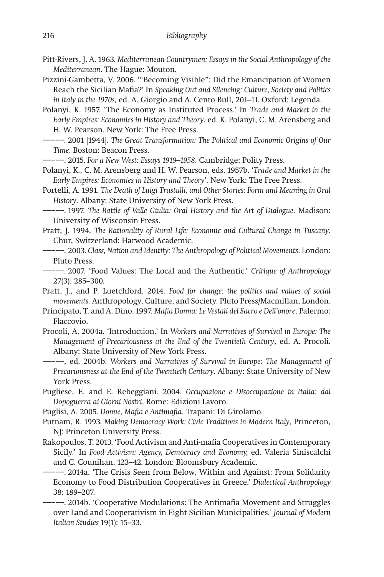- Pitt-Rivers, J. A. 1963. *Mediterranean Countrymen: Essays in the Social Anthropology of the Mediterranean*. The Hague: Mouton.
- Pizzini-Gambetta, V. 2006. '"Becoming Visible": Did the Emancipation of Women Reach the Sicilian Mafia?' In *Speaking Out and Silencing: Culture, Society and Politics in Italy in the 1970s,* ed. A. Giorgio and A. Cento Bull, 201–11*.* Oxford: Legenda.
- Polanyi, K. 1957. 'The Economy as Instituted Process.' In *Trade and Market in the Early Empires: Economies in History and Theory*, ed. K. Polanyi, C. M. Arensberg and H. W. Pearson. New York: The Free Press.
- −−−−−. 2001 [1944]. *The Great Transformation: The Political and Economic Origins of Our Time*. Boston: Beacon Press.
	- −−−−−. 2015. *For a New West: Essays 1919–1958*. Cambridge: Polity Press.
- Polanyi, K., C. M. Arensberg and H. W. Pearson, eds. 1957b. '*Trade and Market in the Early Empires: Economies in History and Theory*'*.* New York: The Free Press.
- Portelli, A. 1991. *The Death of Luigi Trastulli, and Other Stories: Form and Meaning in Oral History*. Albany: State University of New York Press.
- −−−−−. 1997. *The Battle of Valle Giulia: Oral History and the Art of Dialogue*. Madison: University of Wisconsin Press.
- Pratt, J. 1994. *The Rationality of Rural Life: Economic and Cultural Change in Tuscany*. Chur, Switzerland: Harwood Academic.
- −−−−−. 2003. *Class, Nation and Identity: The Anthropology of Political Movements*. London: Pluto Press.
- −−−−−. 2007. 'Food Values: The Local and the Authentic.' *Critique of Anthropology* 27(3): 285–300.
- Pratt, J., and P. Luetchford. 2014. *Food for change: the politics and values of social movements.* Anthropology, Culture, and Society. Pluto Press/Macmillan, London.
- Principato, T. and A. Dino. 1997. *Mafia Donna: Le Vestali del Sacro e Dell'onore*. Palermo: Flaccovio.
- Procoli, A. 2004a. 'Introduction.' In *Workers and Narratives of Survival in Europe: The Management of Precariousness at the End of the Twentieth Century*, ed. A. Procoli. Albany: State University of New York Press.
- −−−−−, ed. 2004b. *Workers and Narratives of Survival in Europe: The Management of Precariousness at the End of the Twentieth Century*. Albany: State University of New York Press.
- Pugliese, E. and E. Rebeggiani. 2004. *Occupazione e Disoccupazione in Italia: dal Dopoguerra ai Giorni Nostri*. Rome: Edizioni Lavoro.
- Puglisi, A. 2005. *Donne, Mafia e Antimafia*. Trapani: Di Girolamo.
- Putnam, R. 1993. *Making Democracy Work: Civic Traditions in Modern Italy*, Princeton, NJ: Princeton University Press.
- Rakopoulos, T. 2013. 'Food Activism and Anti-mafia Cooperatives in Contemporary Sicily.' In *Food Activism: Agency, Democracy and Economy,* ed. Valeria Siniscalchi and C. Counihan, 123–42. London: Bloomsbury Academic.
- −−−−−. 2014a. 'The Crisis Seen from Below, Within and Against: From Solidarity Economy to Food Distribution Cooperatives in Greece.' *Dialectical Anthropology*  38: 189–207.
- −−−−−. 2014b. 'Cooperative Modulations: The Antimafia Movement and Struggles over Land and Cooperativism in Eight Sicilian Municipalities.' *Journal of Modern Italian Studies* 19(1): 15–33.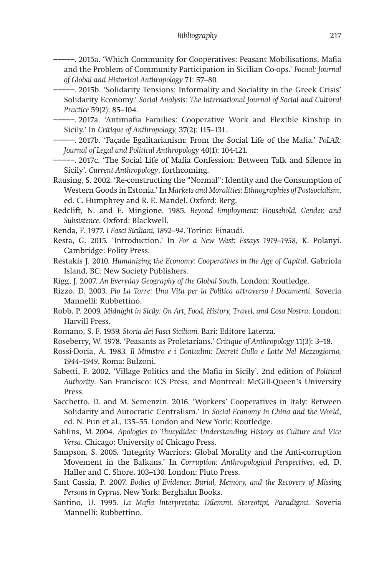−−−−−. 2015a. 'Which Community for Cooperatives: Peasant Mobilisations, Mafia and the Problem of Community Participation in Sicilian Co-ops.' *Focaal: Journal of Global and Historical Anthropology* 71: 57–80.

- −−−−−. 2015b. 'Solidarity Tensions: Informality and Sociality in the Greek Crisis' Solidarity Economy.' *Social Analysis*: *The International Journal of Social and Cultural Practice* 59(2): 85–104.
- −−−−−. 2017a. 'Antimafia Families: Cooperative Work and Flexible Kinship in Sicily.' In *Critique of Anthropology,* 37(2): 115–131..
- −−−−−. 2017b. 'Façade Egalitarianism: From the Social Life of the Mafia.' *PoLAR: Journal of Legal and Political Anthropology* 40(1): 104-121.
- −−−−−. 2017c. 'The Social Life of Mafia Confession: Between Talk and Silence in Sicily'. *Current Anthropology*, forthcoming.
- Rausing, S. 2002. 'Re-constructing the "Normal": Identity and the Consumption of Western Goods in Estonia.' In *Markets and Moralities: Ethnographies of Postsocialism*, ed. C. Humphrey and R. E. Mandel. Oxford: Berg.
- Redclift, N. and E. Mingione. 1985. *Beyond Employment: Household, Gender, and Subsistence*. Oxford: Blackwell.
- Renda, F. 1977. *I Fasci Siciliani, 1892–94*. Torino: Einaudi.
- Resta, G. 2015. 'Introduction.' In *For a New West: Essays 1919–1958*, K. Polanyi. Cambridge: Polity Press.
- Restakis J. 2010. *Humanizing the Economy: Cooperatives in the Age of Capital*. Gabriola Island, BC: New Society Publishers.
- Rigg, J. 2007. *An Everyday Geography of the Global South*. London: Routledge.
- Rizzo, D. 2003. *Pio La Torre: Una Vita per la Politica attraverso i Documenti*. Soveria Mannelli: Rubbettino.
- Robb, P. 2009. *Midnight in Sicily: On Art, Food, History, Travel, and Cosa Nostra*. London: Harvill Press.
- Romano, S. F. 1959. *Storia dei Fasci Siciliani.* Bari: Editore Laterza.
- Roseberry, W. 1978. 'Peasants as Proletarians.' *Critique of Anthropology* 11(3): 3–18.
- Rossi-Doria, A. 1983. *Il Ministro e i Contadini: Decreti Gullo e Lotte Nel Mezzogiorno, 1944–1949*. Roma: Bulzoni.
- Sabetti, F. 2002. 'Village Politics and the Mafia in Sicily'. 2nd edition of *Political Authority*. San Francisco: ICS Press, and Montreal: McGill-Queen's University Press.
- Sacchetto, D. and M. Semenzin. 2016. 'Workers' Cooperatives in Italy: Between Solidarity and Autocratic Centralism.' In *Social Economy in China and the World*, ed. N. Pun et al., 135–55*.* London and New York: Routledge.
- Sahlins, M. 2004. *Apologies to Thucydides: Understanding History as Culture and Vice Versa.* Chicago: University of Chicago Press.
- Sampson, S. 2005. 'Integrity Warriors: Global Morality and the Anti-corruption Movement in the Balkans.' In *Corruption: Anthropological Perspectives*, ed. D. Haller and C. Shore, 103–130. London: Pluto Press.
- Sant Cassia, P. 2007. *Bodies of Evidence: Burial, Memory, and the Recovery of Missing Persons in Cyprus*. New York: Berghahn Books.
- Santino, U. 1995. *La Mafia Interpretata: Dilemmi, Stereotipi, Paradigmi*. Soveria Mannelli: Rubbettino.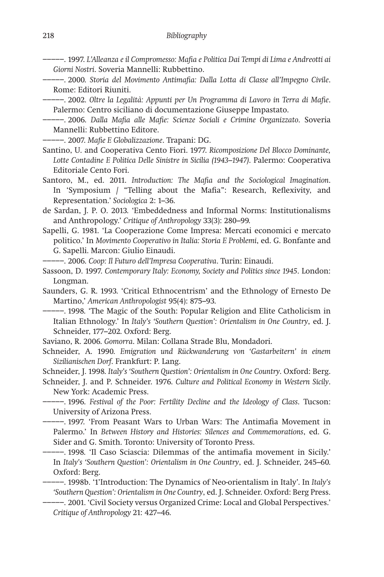−−−−−. 1997. *L'Alleanza e il Compromesso: Mafia e Politica Dai Tempi di Lima e Andreotti ai Giorni Nostri*. Soveria Mannelli: Rubbettino.

−−−−−. 2000. *Storia del Movimento Antimafia: Dalla Lotta di Classe all'Impegno Civile*. Rome: Editori Riuniti.

−−−−−. 2002. *Oltre la Legalità: Appunti per Un Programma di Lavoro in Terra di Mafie*. Palermo: Centro siciliano di documentazione Giuseppe Impastato.

−−−−−. 2006. *Dalla Mafia alle Mafie: Scienze Sociali e Crimine Organizzato*. Soveria Mannelli: Rubbettino Editore.

−−−−−. 2007. *Mafie E Globalizzazione*. Trapani: DG.

Santino, U. and Cooperativa Cento Fiori. 1977. *Ricomposizione Del Blocco Dominante, Lotte Contadine E Politica Delle Sinistre in Sicilia (1943–1947)*. Palermo: Cooperativa Editoriale Cento Fori.

Santoro, M., ed. 2011. *Introduction: The Mafia and the Sociological Imagination*. In 'Symposium / "Telling about the Mafia": Research, Reflexivity, and Representation.' *Sociologica* 2: 1–36.

de Sardan, J. P. O. 2013. 'Embeddedness and Informal Norms: Institutionalisms and Anthropology.' *Critique of Anthropology* 33(3): 280–99.

Sapelli, G. 1981. 'La Cooperazione Come Impresa: Mercati economici e mercato politico.' In *Movimento Cooperativo in Italia: Storia E Problemi*, ed. G. Bonfante and G. Sapelli. Marcon: Giulio Einaudi.

−−−−−. 2006. *Coop: Il Futuro dell'Impresa Cooperativa*. Turin: Einaudi.

Sassoon, D. 1997. *Contemporary Italy: Economy, Society and Politics since 1945*. London: Longman.

Saunders, G. R. 1993. 'Critical Ethnocentrism' and the Ethnology of Ernesto De Martino,' *American Anthropologist* 95(4): 875–93.

−−−−−. 1998. 'The Magic of the South: Popular Religion and Elite Catholicism in Italian Ethnology.' In *Italy's 'Southern Question': Orientalism in One Country*, ed. J. Schneider, 177–202. Oxford: Berg.

Saviano, R. 2006. *Gomorra*. Milan: Collana Strade Blu, Mondadori.

Schneider, A. 1990. *Emigration und Rückwanderung von 'Gastarbeitern' in einem Sizilianischen Dorf*. Frankfurt: P. Lang.

Schneider, J. 1998. *Italy's 'Southern Question': Orientalism in One Country*. Oxford: Berg.

Schneider, J. and P. Schneider. 1976. *Culture and Political Economy in Western Sicily*. New York: Academic Press.

−−−−−. 1996. *Festival of the Poor: Fertility Decline and the Ideology of Class*. Tucson: University of Arizona Press.

−−−−−. 1997. 'From Peasant Wars to Urban Wars: The Antimafia Movement in Palermo.' In *Between History and Histories: Silences and Commemorations*, ed. G. Sider and G. Smith. Toronto: University of Toronto Press.

−−−−−. 1998. 'Il Caso Sciascia: Dilemmas of the antimafia movement in Sicily.' In *Italy's 'Southern Question': Orientalism in One Country*, ed. J. Schneider, 245–60. Oxford: Berg.

−−−−−. 1998b. '1'Introduction: The Dynamics of Neo-orientalism in Italy'. In *Italy's 'Southern Question': Orientalism in One Country*, ed. J. Schneider. Oxford: Berg Press.

−−−−−. 2001. 'Civil Society versus Organized Crime: Local and Global Perspectives.' *Critique of Anthropology* 21: 427–46.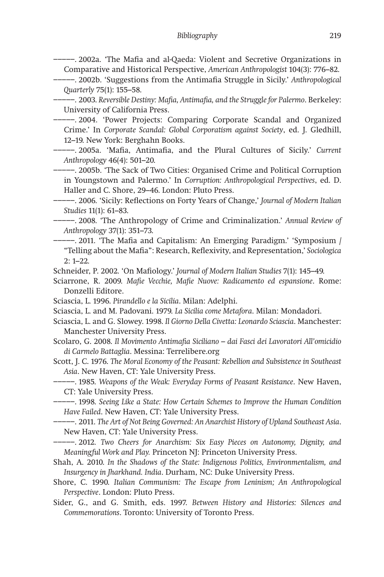## *Bibliography* 219

−−−−−. 2002a. 'The Mafia and al-Qaeda: Violent and Secretive Organizations in Comparative and Historical Perspective, *American Anthropologist* 104(3): 776–82.

−−−−−. 2002b. 'Suggestions from the Antimafia Struggle in Sicily.' *Anthropological Quarterly* 75(1): 155–58.

−−−−−. 2003. *Reversible Destiny: Mafia, Antimafia, and the Struggle for Palermo*. Berkeley: University of California Press.

−−−−−. 2004. 'Power Projects: Comparing Corporate Scandal and Organized Crime.' In *Corporate Scandal: Global Corporatism against Society*, ed. J. Gledhill, 12–19. New York: Berghahn Books.

−−−−−. 2005a. 'Mafia, Antimafia, and the Plural Cultures of Sicily.' *Current Anthropology* 46(4): 501–20.

−−−−−. 2005b. 'The Sack of Two Cities: Organised Crime and Political Corruption in Youngstown and Palermo.' In *Corruption: Anthropological Perspectives*, ed. D. Haller and C. Shore, 29–46. London: Pluto Press.

−−−−−. 2006. 'Sicily: Reflections on Forty Years of Change,' *Journal of Modern Italian Studies* 11(1): 61–83.

−−−−−. 2008. 'The Anthropology of Crime and Criminalization.' *Annual Review of Anthropology* 37(1): 351–73.

−−−−−. 2011. 'The Mafia and Capitalism: An Emerging Paradigm.' 'Symposium / "Telling about the Mafia": Research, Reflexivity, and Representation,' *Sociologica* 2: 1–22.

Schneider, P. 2002. 'On Mafiology.' *Journal of Modern Italian Studies* 7(1): 145–49.

- Sciarrone, R. 2009. *Mafie Vecchie, Mafie Nuove: Radicamento ed espansione*. Rome: Donzelli Editore.
- Sciascia, L. 1996. *Pirandello e la Sicilia*. Milan: Adelphi.
- Sciascia, L. and M. Padovani. 1979. *La Sicilia come Metafora*. Milan: Mondadori.
- Sciascia, L. and G. Slowey. 1998. *Il Giorno Della Civetta: Leonardo Sciascia*. Manchester: Manchester University Press.
- Scolaro, G. 2008. *Il Movimento Antimafia Siciliano dai Fasci dei Lavoratori All'omicidio di Carmelo Battaglia*. Messina: Terrelibere.org

Scott, J. C. 1976. *The Moral Economy of the Peasant: Rebellion and Subsistence in Southeast Asia*. New Haven, CT: Yale University Press.

−−−−−. 1985. *Weapons of the Weak: Everyday Forms of Peasant Resistance*. New Haven, CT: Yale University Press.

−−−−−. 1998. *Seeing Like a State: How Certain Schemes to Improve the Human Condition Have Failed*. New Haven, CT: Yale University Press.

−−−−−. 2011. *The Art of Not Being Governed: An Anarchist History of Upland Southeast Asia*. New Haven, CT: Yale University Press.

−−−−−. 2012. *Two Cheers for Anarchism: Six Easy Pieces on Autonomy, Dignity, and Meaningful Work and Play.* Princeton NJ: Princeton University Press.

Shah, A. 2010. *In the Shadows of the State: Indigenous Politics, Environmentalism, and Insurgency in Jharkhand. India*. Durham, NC: Duke University Press.

Shore, C. 1990. *Italian Communism: The Escape from Leninism; An Anthropological Perspective*. London: Pluto Press.

Sider, G., and G. Smith, eds. 1997. *Between History and Histories: Silences and Commemorations*. Toronto: University of Toronto Press.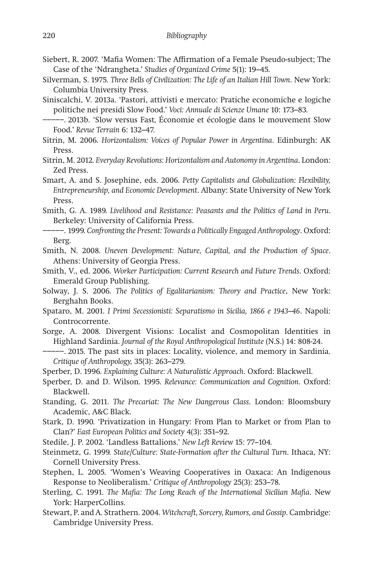- Siebert, R. 2007. 'Mafia Women: The Affirmation of a Female Pseudo-subject; The Case of the 'Ndrangheta.' *Studies of Organized Crime* 5(1): 19–45.
- Silverman, S. 1975. *Three Bells of Civilization: The Life of an Italian Hill Town*. New York: Columbia University Press.
- Siniscalchi, V. 2013a. 'Pastori, attivisti e mercato: Pratiche economiche e logiche politiche nei presidi Slow Food.' *Voci: Annuale di Scienze Umane* 10: 173–83.
- −−−−−. 2013b. 'Slow versus Fast*,* Économie et écologie dans le mouvement Slow Food.' *Revue Terrain* 6: 132–47.
- Sitrin, M. 2006. *Horizontalism: Voices of Popular Power in Argentina*. Edinburgh: AK Press.
- Sitrin, M. 2012. *Everyday Revolutions: Horizontalism and Autonomy in Argentina*. London: Zed Press.

Smart, A. and S. Josephine, eds. 2006. *Petty Capitalists and Globalization: Flexibility, Entrepreneurship, and Economic Development*. Albany: State University of New York Press.

Smith, G. A. 1989. *Livelihood and Resistance: Peasants and the Politics of Land in Peru*. Berkeley: University of California Press.

Smith, N. 2008. *Uneven Development: Nature, Capital, and the Production of Space*. Athens: University of Georgia Press.

Smith, V., ed. 2006. *Worker Participation: Current Research and Future Trends*. Oxford: Emerald Group Publishing.

- Solway, J. S. 2006. *The Politics of Egalitarianism: Theory and Practice*, New York: Berghahn Books.
- Spataro, M. 2001. *I Primi Secessionisti: Separatismo in Sicilia, 1866 e 1943–46*. Napoli: Controcorrente.
- Sorge, A. 2008. Divergent Visions: Localist and Cosmopolitan Identities in Highland Sardinia. *Journal of the Royal Anthropological Institute* (N.S.) 14: 808-24.
- −−−−−. 2015. The past sits in places: Locality, violence, and memory in Sardinia. *Critique of Anthropology,* 35(3): 263–279.
- Sperber, D. 1996. *Explaining Culture: A Naturalistic Approach*. Oxford: Blackwell.
- Sperber, D. and D. Wilson. 1995. *Relevance: Communication and Cognition*. Oxford: Blackwell.
- Standing, G. 2011. *The Precariat: The New Dangerous Class*. London: Bloomsbury Academic, A&C Black.
- Stark, D. 1990. 'Privatization in Hungary: From Plan to Market or from Plan to Clan?' *East European Politics and Society* 4(3): 351–92.
- Stedile, J. P. 2002. 'Landless Battalions.' *New Left Review* 15: 77–104*.*
- Steinmetz, G. 1999. *State/Culture: State-Formation after the Cultural Turn*. Ithaca, NY: Cornell University Press.
- Stephen, L. 2005. 'Women's Weaving Cooperatives in Oaxaca: An Indigenous Response to Neoliberalism.' *Critique of Anthropology* 25(3): 253–78.
- Sterling, C. 1991. *The Mafia: The Long Reach of the International Sicilian Mafia*. New York: HarperCollins.
- Stewart, P. and A. Strathern. 2004. *Witchcraft, Sorcery, Rumors, and Gossip*. Cambridge: Cambridge University Press.

<sup>−−−−−.</sup> 1999. *Confronting the Present: Towards a Politically Engaged Anthropology*. Oxford: Berg.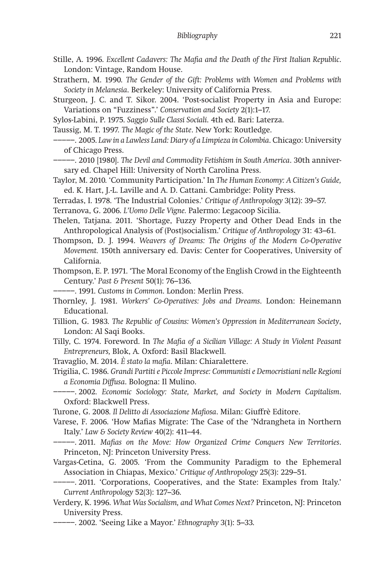- Stille, A. 1996. *Excellent Cadavers: The Mafia and the Death of the First Italian Republic*. London: Vintage, Random House.
- Strathern, M. 1990. *The Gender of the Gift: Problems with Women and Problems with Society in Melanesia*. Berkeley: University of California Press.
- Sturgeon, J. C. and T. Sikor. 2004. 'Post-socialist Property in Asia and Europe: Variations on "Fuzziness".' *Conservation and Society* 2(1):1–17.
- Sylos-Labini, P. 1975. *Saggio Sulle Classi Sociali*. 4th ed. Bari: Laterza.
- Taussig, M. T. 1997. *The Magic of the State*. New York: Routledge.
- −−−−−. 2005. *Law in a Lawless Land: Diary of a Limpieza in Colombia*. Chicago: University of Chicago Press.
- −−−−−. 2010 [1980]. *The Devil and Commodity Fetishism in South America*. 30th anniversary ed. Chapel Hill: University of North Carolina Press.
- Taylor, M. 2010. 'Community Participation.' In *The Human Economy: A Citizen's Guide,* ed. K. Hart, J.-L. Laville and A. D. Cattani. Cambridge: Polity Press.
- Terradas, I. 1978. 'The Industrial Colonies.' *Critique of Anthropology* 3(12): 39–57.
- Terranova, G. 2006. *L'Uomo Delle Vigne.* Palermo: Legacoop Sicilia.
- Thelen, Tatjana. 2011. 'Shortage, Fuzzy Property and Other Dead Ends in the Anthropological Analysis of (Post)socialism.' *Critique of Anthropology* 31: 43–61.
- Thompson, D. J. 1994. *Weavers of Dreams: The Origins of the Modern Co-Operative Movement.* 150th anniversary ed. Davis: Center for Cooperatives, University of California.
- Thompson, E. P. 1971. 'The Moral Economy of the English Crowd in the Eighteenth Century.' *Past & Present* 50(1): 76–136.
- −−−−−. 1991. *Customs in Common*. London: Merlin Press.
- Thornley, J. 1981. *Workers' Co-Operatives: Jobs and Dreams*. London: Heinemann Educational.
- Tillion, G. 1983. *The Republic of Cousins: Women's Oppression in Mediterranean Society*, London: Al Saqi Books.
- Tilly, C. 1974. Foreword. In *The Mafia of a Sicilian Village: A Study in Violent Peasant Entrepreneurs,* Blok, A*.* Oxford: Basil Blackwell.
- Travaglio, M. 2014. *È stato la mafia*. Milan: Chiaralettere.
- Trigilia, C. 1986. *Grandi Partiti e Piccole Imprese: Communisti e Democristiani nelle Regioni a Economia Diffusa*. Bologna: Il Mulino.
- −−−−−. 2002. *Economic Sociology: State, Market, and Society in Modern Capitalism*. Oxford: Blackwell Press.
- Turone, G. 2008. *Il Delitto di Associazione Mafiosa*. Milan: Giuffrè Editore.
- Varese, F. 2006. 'How Mafias Migrate: The Case of the 'Ndrangheta in Northern Italy.' *Law & Society Review* 40(2): 411–44.
- −−−−−. 2011. *Mafias on the Move: How Organized Crime Conquers New Territories*. Princeton, NJ: Princeton University Press.
- Vargas-Cetina, G. 2005. 'From the Community Paradigm to the Ephemeral Association in Chiapas, Mexico.' *Critique of Anthropology* 25(3): 229–51.
- −−−−−. 2011. 'Corporations, Cooperatives, and the State: Examples from Italy.' *Current Anthropology* 52(3): 127–36.
- Verdery, K. 1996. *What Was Socialism, and What Comes Next?* Princeton, NJ: Princeton University Press.
	- −−−−−. 2002. 'Seeing Like a Mayor.' *Ethnography* 3(1): 5–33.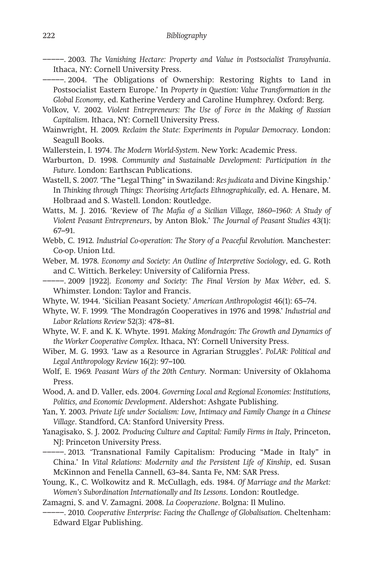−−−−−. 2003. *The Vanishing Hectare: Property and Value in Postsocialist Transylvania*. Ithaca, NY: Cornell University Press.

−−−−−. 2004. 'The Obligations of Ownership: Restoring Rights to Land in Postsocialist Eastern Europe.' In *Property in Question: Value Transformation in the Global Economy*, ed. Katherine Verdery and Caroline Humphrey. Oxford: Berg.

- Volkov, V. 2002. *Violent Entrepreneurs: The Use of Force in the Making of Russian Capitalism*. Ithaca, NY: Cornell University Press.
- Wainwright, H. 2009. *Reclaim the State: Experiments in Popular Democracy*. London: Seagull Books.

Wallerstein, I. 1974. *The Modern World*-*System*. New York: Academic Press.

- Warburton, D. 1998. *Community and Sustainable Development: Participation in the Future*. London: Earthscan Publications.
- Wastell, S. 2007. 'The "Legal Thing" in Swaziland: *Res judicata* and Divine Kingship.' In *Thinking through Things: Theorising Artefacts Ethnographically*, ed. A. Henare, M. Holbraad and S. Wastell. London: Routledge.

Watts, M. J. 2016. 'Review of *The Mafia of a Sicilian Village, 1860–1960: A Study of Violent Peasant Entrepreneurs*, by Anton Blok.' *The Journal of Peasant Studies* 43(1): 67–91.

Webb, C. 1912. *Industrial Co-operation: The Story of a Peaceful Revolution.* Manchester: Co-op. Union Ltd.

Weber, M. 1978. *Economy and Society: An Outline of Interpretive Sociology*, ed. G. Roth and C. Wittich. Berkeley: University of California Press.

−−−−−. 2009 [1922]. *Economy and Society: The Final Version by Max Weber*, ed. S. Whimster. London: Taylor and Francis.

Whyte, W. 1944. 'Sicilian Peasant Society.' *American Anthropologist* 46(1): 65–74.

Whyte, W. F. 1999. 'The Mondragón Cooperatives in 1976 and 1998.' *Industrial and Labor Relations Review* 52(3): 478–81.

Whyte, W. F. and K. K. Whyte. 1991. *Making Mondragón: The Growth and Dynamics of the Worker Cooperative Complex*. Ithaca, NY: Cornell University Press.

Wiber, M. G. 1993. 'Law as a Resource in Agrarian Struggles'. *PoLAR: Political and Legal Anthropology Review* 16(2): 97–100.

Wolf, E. 1969. *Peasant Wars of the 20th Century*. Norman: University of Oklahoma Press.

Wood, A. and D. Valler, eds. 2004. *Governing Local and Regional Economies: Institutions, Politics, and Economic Development*. Aldershot: Ashgate Publishing.

Yan, Y. 2003. *Private Life under Socialism: Love, Intimacy and Family Change in a Chinese Village*. Standford, CA: Stanford University Press.

Yanagisako, S. J. 2002. *Producing Culture and Capital: Family Firms in Italy*, Princeton, NJ: Princeton University Press.

−−−−−. 2013. 'Transnational Family Capitalism: Producing "Made in Italy" in China.' In *Vital Relations: Modernity and the Persistent Life of Kinship*, ed. Susan McKinnon and Fenella Cannell, 63–84. Santa Fe, NM: SAR Press.

Young, K., C. Wolkowitz and R. McCullagh, eds. 1984. *Of Marriage and the Market: Women's Subordination Internationally and Its Lessons*. London: Routledge.

Zamagni, S. and V. Zamagni. 2008. *La Cooperazione*. Bolgna: Il Mulino.

−−−−−. 2010. *Cooperative Enterprise: Facing the Challenge of Globalisation*. Cheltenham: Edward Elgar Publishing.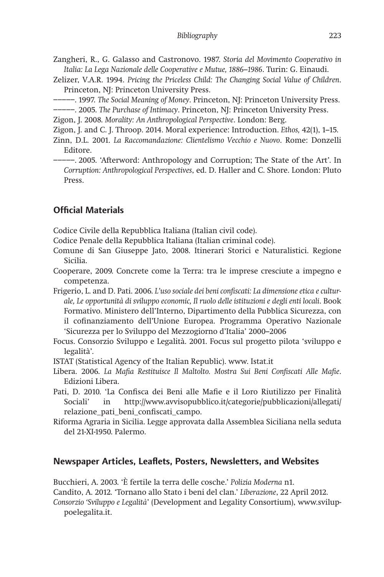Zangheri, R., G. Galasso and Castronovo. 1987. *Storia del Movimento Cooperativo in Italia: La Lega Nazionale delle Cooperative e Mutue, 1886–1986*. Turin: G. Einaudi.

- Zelizer, V.A.R. 1994. *Pricing the Priceless Child: The Changing Social Value of Children*. Princeton, NJ: Princeton University Press.
- −−−−−. 1997. *The Social Meaning of Money*. Princeton, NJ: Princeton University Press.
- −−−−−. 2005. *The Purchase of Intimacy*. Princeton, NJ: Princeton University Press.

Zigon, J. 2008. *Morality: An Anthropological Perspective*. London: Berg.

- Zigon, J. and C. J. Throop. 2014. Moral experience: Introduction. *Ethos,* 42(1), 1–15.
- Zinn, D.L. 2001. *La Raccomandazione: Clientelismo Vecchio e Nuovo*. Rome: Donzelli Editore.
- −−−−−. 2005. 'Afterword: Anthropology and Corruption; The State of the Art'. In *Corruption: Anthropological Perspectives*, ed. D. Haller and C. Shore. London: Pluto Press.

## **Official Materials**

Codice Civile della Repubblica Italiana (Italian civil code).

Codice Penale della Repubblica Italiana (Italian criminal code).

Comune di San Giuseppe Jato, 2008. Itinerari Storici e Naturalistici. Regione Sicilia.

Cooperare, 2009. Concrete come la Terra: tra le imprese cresciute a impegno e competenza.

Frigerio, L. and D. Pati. 2006. *L'uso sociale dei beni confiscati: La dimensione etica e culturale, Le opportunità di sviluppo economic, Il ruolo delle istituzioni e degli enti locali*. Book Formativo. Ministero dell'Interno, Dipartimento della Pubblica Sicurezza, con il cofinanziamento dell'Unione Europea. Programma Operativo Nazionale 'Sicurezza per lo Sviluppo del Mezzogiorno d'Italia' 2000–2006

- Focus. Consorzio Sviluppo e Legalità. 2001. Focus sul progetto pilota 'sviluppo e legalità'.
- ISTAT (Statistical Agency of the Italian Republic). www. Istat.it
- Libera. 2006. *La Mafia Restituisce Il Maltolto. Mostra Sui Beni Confiscati Alle Mafie*. Edizioni Libera.
- Pati, D. 2010. 'La Confisca dei Beni alle Mafie e il Loro Riutilizzo per Finalità Sociali' in http://www.avvisopubblico.it/categorie/pubblicazioni/allegati/ relazione\_pati\_beni\_confiscati\_campo.
- Riforma Agraria in Sicilia. Legge approvata dalla Assemblea Siciliana nella seduta del 21-XI-1950. Palermo.

## **Newspaper Articles, Leaflets, Posters, Newsletters, and Websites**

Bucchieri, A. 2003. 'È fertile la terra delle cosche.' *Polizia Moderna* n1.

Candito, A. 2012. 'Tornano allo Stato i beni del clan.' *Liberazione*, 22 April 2012.

*Consorzio 'Sviluppo e Legalità*' (Development and Legality Consortium), www.sviluppoelegalita.it.